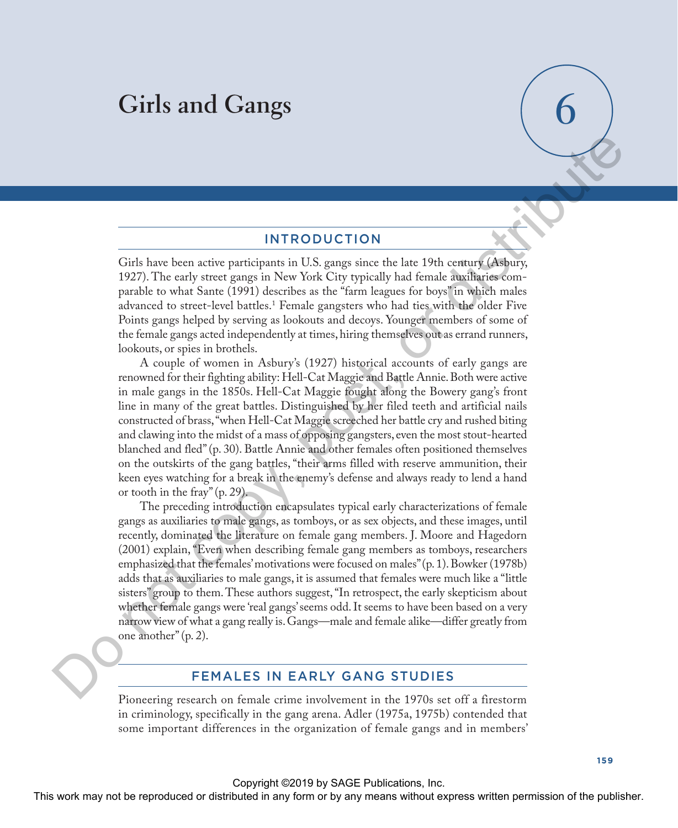# **Girls and Gangs**



# INTRODUCTION

Girls have been active participants in U.S. gangs since the late 19th century (Asbury, 1927). The early street gangs in New York City typically had female auxiliaries comparable to what Sante (1991) describes as the "farm leagues for boys" in which males advanced to street-level battles.1 Female gangsters who had ties with the older Five Points gangs helped by serving as lookouts and decoys. Younger members of some of the female gangs acted independently at times, hiring themselves out as errand runners, lookouts, or spies in brothels.

A couple of women in Asbury's (1927) historical accounts of early gangs are renowned for their fighting ability: Hell-Cat Maggie and Battle Annie. Both were active in male gangs in the 1850s. Hell-Cat Maggie fought along the Bowery gang's front line in many of the great battles. Distinguished by her filed teeth and artificial nails constructed of brass, "when Hell-Cat Maggie screeched her battle cry and rushed biting and clawing into the midst of a mass of opposing gangsters, even the most stout-hearted blanched and fled" (p. 30). Battle Annie and other females often positioned themselves on the outskirts of the gang battles, "their arms filled with reserve ammunition, their keen eyes watching for a break in the enemy's defense and always ready to lend a hand or tooth in the fray" (p. 29). The representation of the representation or distributed in any formula in any form or by any form or by any form or by any form or by any means when the publisher. This will be a publisher of the publisher or distributed

The preceding introduction encapsulates typical early characterizations of female gangs as auxiliaries to male gangs, as tomboys, or as sex objects, and these images, until recently, dominated the literature on female gang members. J. Moore and Hagedorn (2001) explain, "Even when describing female gang members as tomboys, researchers emphasized that the females' motivations were focused on males" (p. 1). Bowker (1978b) adds that as auxiliaries to male gangs, it is assumed that females were much like a "little sisters" group to them. These authors suggest, "In retrospect, the early skepticism about whether female gangs were 'real gangs' seems odd. It seems to have been based on a very narrow view of what a gang really is. Gangs—male and female alike—differ greatly from one another" (p. 2).

# FEMALES IN EARLY GANG STUDIES

Pioneering research on female crime involvement in the 1970s set off a firestorm in criminology, specifically in the gang arena. Adler (1975a, 1975b) contended that some important differences in the organization of female gangs and in members'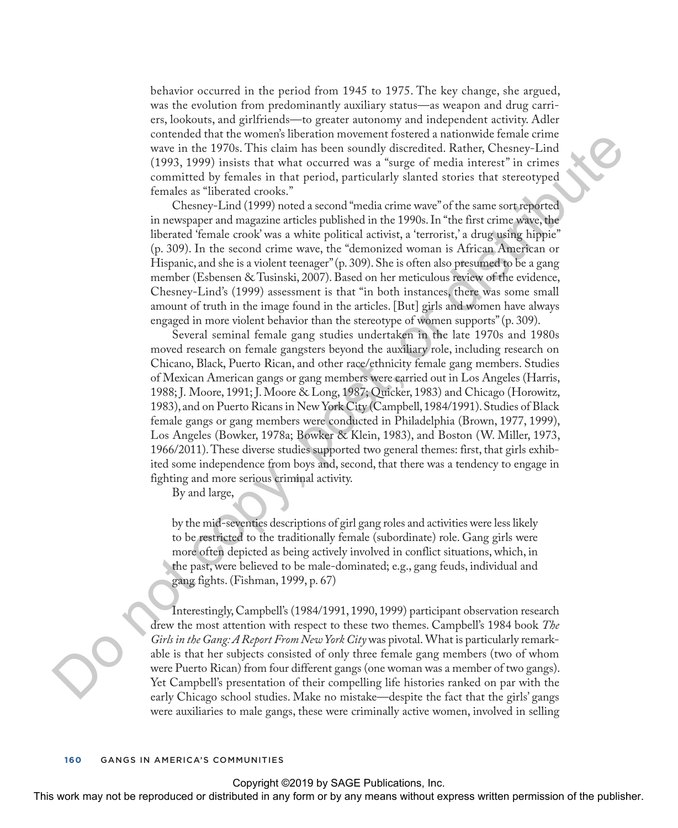behavior occurred in the period from 1945 to 1975. The key change, she argued, was the evolution from predominantly auxiliary status—as weapon and drug carriers, lookouts, and girlfriends—to greater autonomy and independent activity. Adler contended that the women's liberation movement fostered a nationwide female crime wave in the 1970s. This claim has been soundly discredited. Rather, Chesney-Lind (1993, 1999) insists that what occurred was a "surge of media interest" in crimes committed by females in that period, particularly slanted stories that stereotyped females as "liberated crooks."

Chesney-Lind (1999) noted a second "media crime wave" of the same sort reported in newspaper and magazine articles published in the 1990s. In "the first crime wave, the liberated 'female crook' was a white political activist, a 'terrorist,' a drug using hippie" (p. 309). In the second crime wave, the "demonized woman is African American or Hispanic, and she is a violent teenager" (p. 309). She is often also presumed to be a gang member (Esbensen & Tusinski, 2007). Based on her meticulous review of the evidence, Chesney-Lind's (1999) assessment is that "in both instances, there was some small amount of truth in the image found in the articles. [But] girls and women have always engaged in more violent behavior than the stereotype of women supports" (p. 309).

Several seminal female gang studies undertaken in the late 1970s and 1980s moved research on female gangsters beyond the auxiliary role, including research on Chicano, Black, Puerto Rican, and other race/ethnicity female gang members. Studies of Mexican American gangs or gang members were carried out in Los Angeles (Harris, 1988; J. Moore, 1991; J. Moore & Long, 1987; Quicker, 1983) and Chicago (Horowitz, 1983), and on Puerto Ricans in New York City (Campbell, 1984/1991). Studies of Black female gangs or gang members were conducted in Philadelphia (Brown, 1977, 1999), Los Angeles (Bowker, 1978a; Bowker & Klein, 1983), and Boston (W. Miller, 1973, 1966/2011). These diverse studies supported two general themes: first, that girls exhibited some independence from boys and, second, that there was a tendency to engage in fighting and more serious criminal activity. Concerns may not be reproduced or distributed in any form or by any means when  $\alpha$  and  $\alpha$  any positive distributed in any form or by any means with  $\alpha$  and  $\alpha$  and  $\alpha$  and  $\alpha$  and  $\alpha$  and  $\alpha$  and  $\alpha$  and  $\alpha$  an

By and large,

by the mid-seventies descriptions of girl gang roles and activities were less likely to be restricted to the traditionally female (subordinate) role. Gang girls were more often depicted as being actively involved in conflict situations, which, in the past, were believed to be male-dominated; e.g., gang feuds, individual and gang fights. (Fishman, 1999, p. 67)

Interestingly, Campbell's (1984/1991, 1990, 1999) participant observation research drew the most attention with respect to these two themes. Campbell's 1984 book *The Girls in the Gang: A Report From New York City* was pivotal.What is particularly remarkable is that her subjects consisted of only three female gang members (two of whom were Puerto Rican) from four different gangs (one woman was a member of two gangs). Yet Campbell's presentation of their compelling life histories ranked on par with the early Chicago school studies. Make no mistake—despite the fact that the girls' gangs were auxiliaries to male gangs, these were criminally active women, involved in selling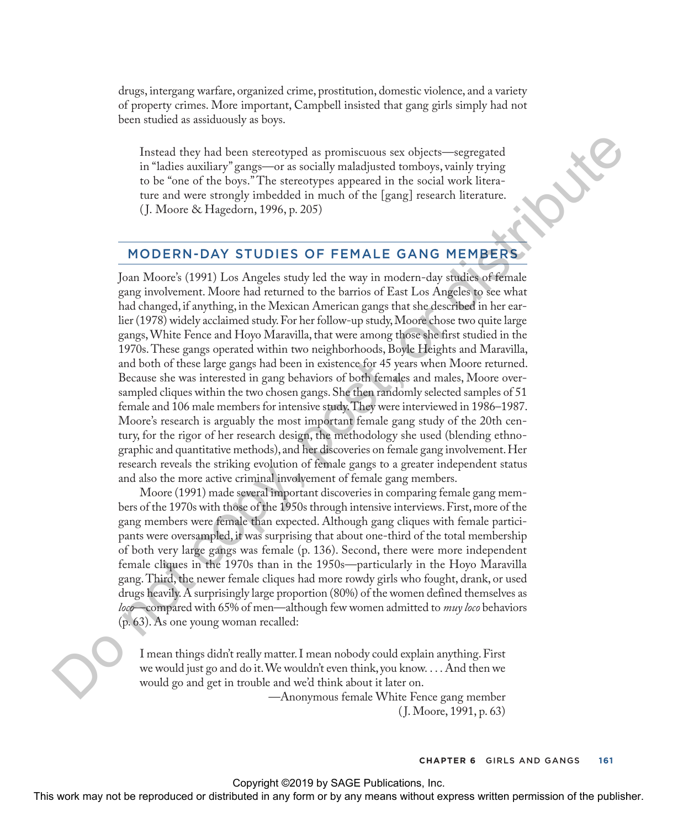drugs, intergang warfare, organized crime, prostitution, domestic violence, and a variety of property crimes. More important, Campbell insisted that gang girls simply had not been studied as assiduously as boys.

Instead they had been stereotyped as promiscuous sex objects—segregated in "ladies auxiliary" gangs—or as socially maladjusted tomboys, vainly trying to be "one of the boys." The stereotypes appeared in the social work literature and were strongly imbedded in much of the [gang] research literature. ( J. Moore & Hagedorn, 1996, p. 205)

# MODERN-DAY STUDIES OF FEMALE GANG MEMBERS

Joan Moore's (1991) Los Angeles study led the way in modern-day studies of female gang involvement. Moore had returned to the barrios of East Los Angeles to see what had changed, if anything, in the Mexican American gangs that she described in her earlier (1978) widely acclaimed study. For her follow-up study, Moore chose two quite large gangs, White Fence and Hoyo Maravilla, that were among those she first studied in the 1970s. These gangs operated within two neighborhoods, Boyle Heights and Maravilla, and both of these large gangs had been in existence for 45 years when Moore returned. Because she was interested in gang behaviors of both females and males, Moore oversampled cliques within the two chosen gangs. She then randomly selected samples of 51 female and 106 male members for intensive study. They were interviewed in 1986–1987. Moore's research is arguably the most important female gang study of the 20th century, for the rigor of her research design, the methodology she used (blending ethnographic and quantitative methods), and her discoveries on female gang involvement. Her research reveals the striking evolution of female gangs to a greater independent status and also the more active criminal involvement of female gang members. Instead they had been atenuated as promises<br>on the result of the result of the results of the results of the results<br>of the results of the results of the results of the publisher.<br>
The results of the publishers of the pub

Moore (1991) made several important discoveries in comparing female gang members of the 1970s with those of the 1950s through intensive interviews. First, more of the gang members were female than expected. Although gang cliques with female participants were oversampled, it was surprising that about one-third of the total membership of both very large gangs was female (p. 136). Second, there were more independent female cliques in the 1970s than in the 1950s—particularly in the Hoyo Maravilla gang. Third, the newer female cliques had more rowdy girls who fought, drank, or used drugs heavily. A surprisingly large proportion (80%) of the women defined themselves as *loco*—compared with 65% of men—although few women admitted to *muy loco* behaviors (p. 63). As one young woman recalled:

I mean things didn't really matter. I mean nobody could explain anything. First we would just go and do it. We wouldn't even think, you know. . . . And then we would go and get in trouble and we'd think about it later on.

> —Anonymous female White Fence gang member (J. Moore, 1991, p. 63)

## **CHAPTER 6** Girls and Gangs **161**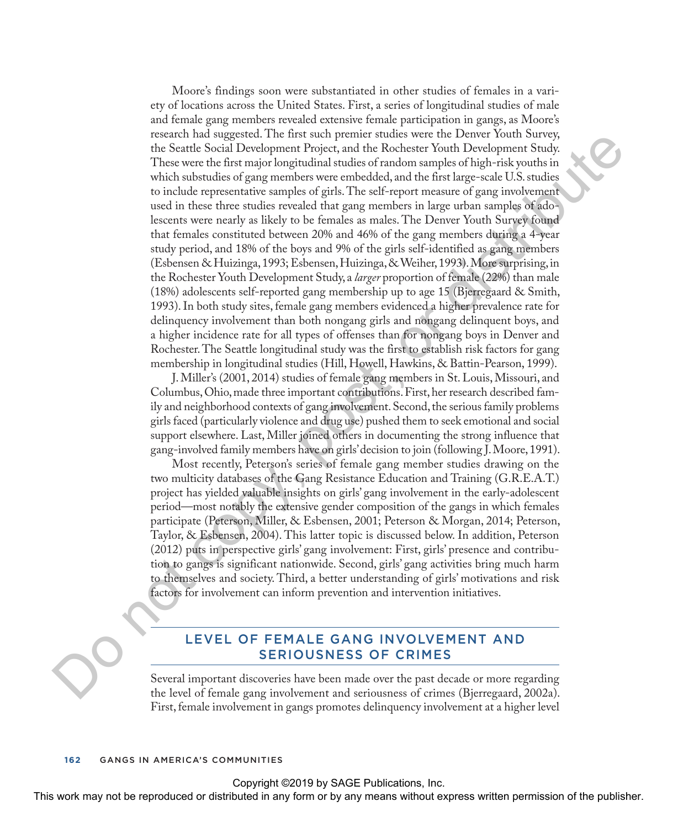Moore's findings soon were substantiated in other studies of females in a variety of locations across the United States. First, a series of longitudinal studies of male and female gang members revealed extensive female participation in gangs, as Moore's research had suggested. The first such premier studies were the Denver Youth Survey, the Seattle Social Development Project, and the Rochester Youth Development Study. These were the first major longitudinal studies of random samples of high-risk youths in which substudies of gang members were embedded, and the first large-scale U.S. studies to include representative samples of girls. The self-report measure of gang involvement used in these three studies revealed that gang members in large urban samples of adolescents were nearly as likely to be females as males. The Denver Youth Survey found that females constituted between 20% and 46% of the gang members during a 4-year study period, and 18% of the boys and 9% of the girls self-identified as gang members (Esbensen & Huizinga, 1993; Esbensen, Huizinga, & Weiher, 1993). More surprising, in the Rochester Youth Development Study, a *larger* proportion of female (22%) than male (18%) adolescents self-reported gang membership up to age 15 (Bjerregaard & Smith, 1993). In both study sites, female gang members evidenced a higher prevalence rate for delinquency involvement than both nongang girls and nongang delinquent boys, and a higher incidence rate for all types of offenses than for nongang boys in Denver and Rochester. The Seattle longitudinal study was the first to establish risk factors for gang membership in longitudinal studies (Hill, Howell, Hawkins, & Battin-Pearson, 1999). The may not be represented or distributed or distributed in any form of the representation of the representation of the publisher. The components with the angle of the publisher with the publisher of the publisher. This i

J. Miller's (2001, 2014) studies of female gang members in St. Louis, Missouri, and Columbus, Ohio, made three important contributions. First, her research described family and neighborhood contexts of gang involvement. Second, the serious family problems girls faced (particularly violence and drug use) pushed them to seek emotional and social support elsewhere. Last, Miller joined others in documenting the strong influence that gang-involved family members have on girls' decision to join (following J. Moore, 1991).

Most recently, Peterson's series of female gang member studies drawing on the two multicity databases of the Gang Resistance Education and Training (G.R.E.A.T.) project has yielded valuable insights on girls' gang involvement in the early-adolescent period—most notably the extensive gender composition of the gangs in which females participate (Peterson, Miller, & Esbensen, 2001; Peterson & Morgan, 2014; Peterson, Taylor, & Esbensen, 2004). This latter topic is discussed below. In addition, Peterson (2012) puts in perspective girls' gang involvement: First, girls' presence and contribution to gangs is significant nationwide. Second, girls' gang activities bring much harm to themselves and society. Third, a better understanding of girls' motivations and risk factors for involvement can inform prevention and intervention initiatives.



# LEVEL OF FEMALE GANG INVOLVEMENT AND SERIOUSNESS OF CRIMES

Several important discoveries have been made over the past decade or more regarding the level of female gang involvement and seriousness of crimes (Bjerregaard, 2002a). First, female involvement in gangs promotes delinquency involvement at a higher level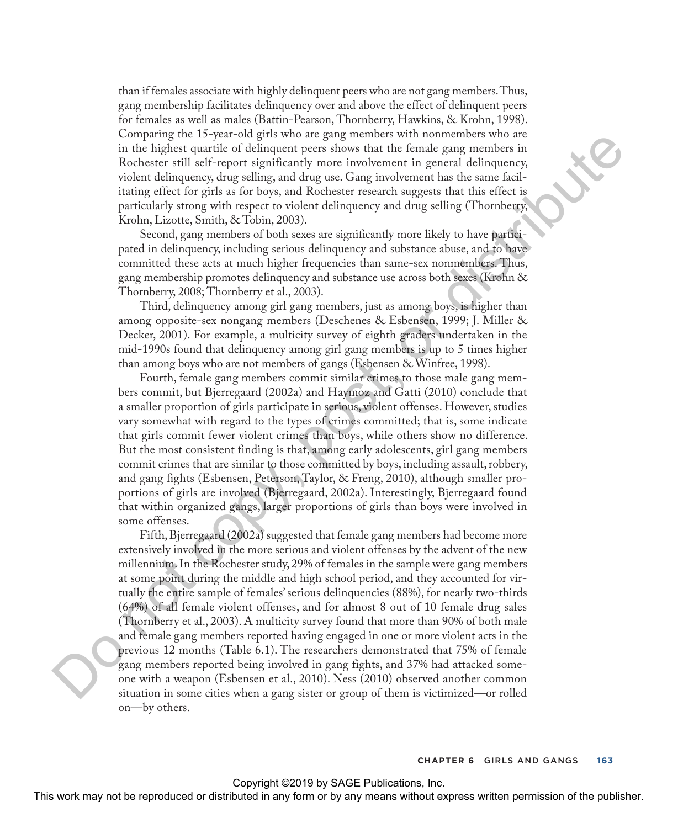than if females associate with highly delinquent peers who are not gang members. Thus, gang membership facilitates delinquency over and above the effect of delinquent peers for females as well as males (Battin-Pearson, Thornberry, Hawkins, & Krohn, 1998). Comparing the 15-year-old girls who are gang members with nonmembers who are in the highest quartile of delinquent peers shows that the female gang members in Rochester still self-report significantly more involvement in general delinquency, violent delinquency, drug selling, and drug use. Gang involvement has the same facilitating effect for girls as for boys, and Rochester research suggests that this effect is particularly strong with respect to violent delinquency and drug selling (Thornberry, Krohn, Lizotte, Smith, & Tobin, 2003).

Second, gang members of both sexes are significantly more likely to have participated in delinquency, including serious delinquency and substance abuse, and to have committed these acts at much higher frequencies than same-sex nonmembers. Thus, gang membership promotes delinquency and substance use across both sexes (Krohn & Thornberry, 2008; Thornberry et al., 2003).

Third, delinquency among girl gang members, just as among boys, is higher than among opposite-sex nongang members (Deschenes & Esbensen, 1999; J. Miller & Decker, 2001). For example, a multicity survey of eighth graders undertaken in the mid-1990s found that delinquency among girl gang members is up to 5 times higher than among boys who are not members of gangs (Esbensen & Winfree, 1998).

Fourth, female gang members commit similar crimes to those male gang members commit, but Bjerregaard (2002a) and Haymoz and Gatti (2010) conclude that a smaller proportion of girls participate in serious, violent offenses. However, studies vary somewhat with regard to the types of crimes committed; that is, some indicate that girls commit fewer violent crimes than boys, while others show no difference. But the most consistent finding is that, among early adolescents, girl gang members commit crimes that are similar to those committed by boys, including assault, robbery, and gang fights (Esbensen, Peterson, Taylor, & Freng, 2010), although smaller proportions of girls are involved (Bjerregaard, 2002a). Interestingly, Bjerregaard found that within organized gangs, larger proportions of girls than boys were involved in some offenses.

Fifth, Bjerregaard (2002a) suggested that female gang members had become more extensively involved in the more serious and violent offenses by the advent of the new millennium. In the Rochester study, 29% of females in the sample were gang members at some point during the middle and high school period, and they accounted for virtually the entire sample of females' serious delinquencies (88%), for nearly two-thirds (64%) of all female violent offenses, and for almost 8 out of 10 female drug sales (Thornberry et al., 2003). A multicity survey found that more than 90% of both male and female gang members reported having engaged in one or more violent acts in the previous 12 months (Table 6.1). The researchers demonstrated that 75% of female gang members reported being involved in gang fights, and 37% had attacked someone with a weapon (Esbensen et al., 2010). Ness (2010) observed another common situation in some cities when a gang sister or group of them is victimized—or rolled on—by others. Compares the visitor of the publisher may not be reproduced or the publisher. This work may not be reproduced the publisher and the publisher and the publisher or by any means with the publisher. The publisher of the publ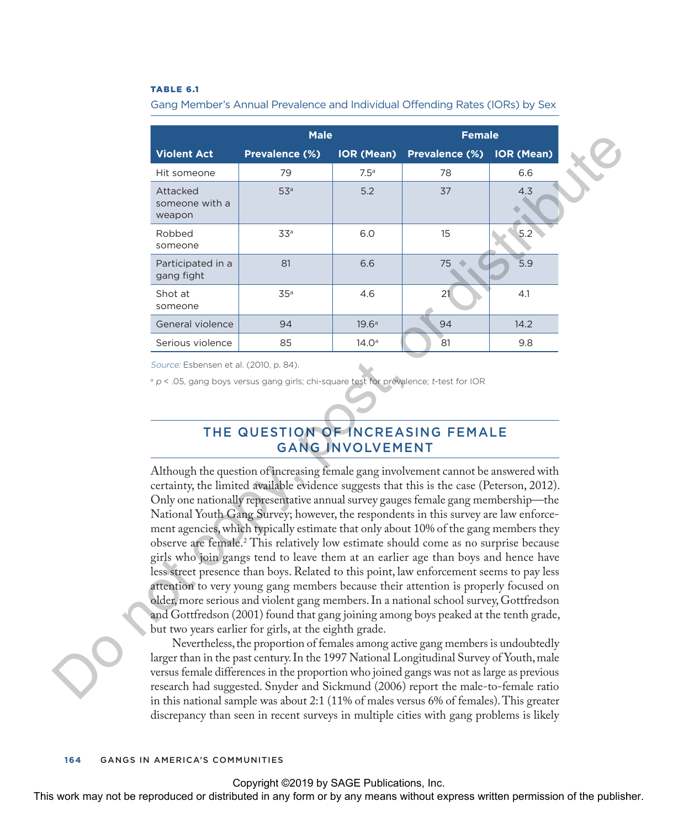## TABLE 6.1

|                                                                                                                                 | <b>Male</b>                                                                                                                                                                                                                                                                                                                                                                                                                                                                                                                                                                                                                                                                                                                                                                                                                                                                              |                   | <b>Female</b>             |      |
|---------------------------------------------------------------------------------------------------------------------------------|------------------------------------------------------------------------------------------------------------------------------------------------------------------------------------------------------------------------------------------------------------------------------------------------------------------------------------------------------------------------------------------------------------------------------------------------------------------------------------------------------------------------------------------------------------------------------------------------------------------------------------------------------------------------------------------------------------------------------------------------------------------------------------------------------------------------------------------------------------------------------------------|-------------------|---------------------------|------|
| <b>Violent Act</b>                                                                                                              | Prevalence (%)                                                                                                                                                                                                                                                                                                                                                                                                                                                                                                                                                                                                                                                                                                                                                                                                                                                                           | <b>IOR (Mean)</b> | Prevalence (%) IOR (Mean) |      |
| Hit someone                                                                                                                     | 79                                                                                                                                                                                                                                                                                                                                                                                                                                                                                                                                                                                                                                                                                                                                                                                                                                                                                       | 7.5 <sup>a</sup>  | 78                        | 6.6  |
| Attacked<br>someone with a<br>weapon                                                                                            | 53 <sup>a</sup>                                                                                                                                                                                                                                                                                                                                                                                                                                                                                                                                                                                                                                                                                                                                                                                                                                                                          | 5.2               | 37                        | 4.3  |
| Robbed<br>someone                                                                                                               | 33a                                                                                                                                                                                                                                                                                                                                                                                                                                                                                                                                                                                                                                                                                                                                                                                                                                                                                      | 6.0               | 15                        | 5.2  |
| Participated in a<br>gang fight                                                                                                 | 81                                                                                                                                                                                                                                                                                                                                                                                                                                                                                                                                                                                                                                                                                                                                                                                                                                                                                       | 6.6               | 75                        | 5.9  |
| Shot at<br>someone                                                                                                              | 35 <sup>a</sup>                                                                                                                                                                                                                                                                                                                                                                                                                                                                                                                                                                                                                                                                                                                                                                                                                                                                          | 4.6               | 21                        | 4.1  |
| General violence                                                                                                                | 94                                                                                                                                                                                                                                                                                                                                                                                                                                                                                                                                                                                                                                                                                                                                                                                                                                                                                       | 19.6 <sup>a</sup> | 94                        | 14.2 |
| Serious violence                                                                                                                | 85                                                                                                                                                                                                                                                                                                                                                                                                                                                                                                                                                                                                                                                                                                                                                                                                                                                                                       | 14.0 <sup>a</sup> | 81                        | 9.8  |
|                                                                                                                                 | National Youth Gang Survey; however, the respondents in this survey are law enforce-<br>ment agencies, which typically estimate that only about 10% of the gang members they<br>observe are female. <sup>2</sup> This relatively low estimate should come as no surprise because<br>girls who join gangs tend to leave them at an earlier age than boys and hence have<br>less street presence than boys. Related to this point, law enforcement seems to pay less<br>attention to very young gang members because their attention is properly focused on<br>older, more serious and violent gang members. In a national school survey, Gottfredson<br>and Gottfredson (2001) found that gang joining among boys peaked at the tenth grade,<br>but two years earlier for girls, at the eighth grade.<br>Nevertheless, the proportion of females among active gang members is undoubtedly |                   |                           |      |
|                                                                                                                                 | larger than in the past century. In the 1997 National Longitudinal Survey of Youth, male<br>versus female differences in the proportion who joined gangs was not as large as previous<br>research had suggested. Snyder and Sickmund (2006) report the male-to-female ratio<br>in this national sample was about 2:1 (11% of males versus 6% of females). This greater<br>discrepancy than seen in recent surveys in multiple cities with gang problems is likely                                                                                                                                                                                                                                                                                                                                                                                                                        |                   |                           |      |
| <b>GANGS IN AMERICA'S COMMUNITIES</b>                                                                                           |                                                                                                                                                                                                                                                                                                                                                                                                                                                                                                                                                                                                                                                                                                                                                                                                                                                                                          |                   |                           |      |
| This work may not be reproduced or distributed in any form or by any means without express written permission of the publisher. | Copyright ©2019 by SAGE Publications, Inc.                                                                                                                                                                                                                                                                                                                                                                                                                                                                                                                                                                                                                                                                                                                                                                                                                                               |                   |                           |      |

Gang Member's Annual Prevalence and Individual Offending Rates (IORs) by Sex

# THE QUESTION OF INCREASING FEMALE GANG INVOLVEMENT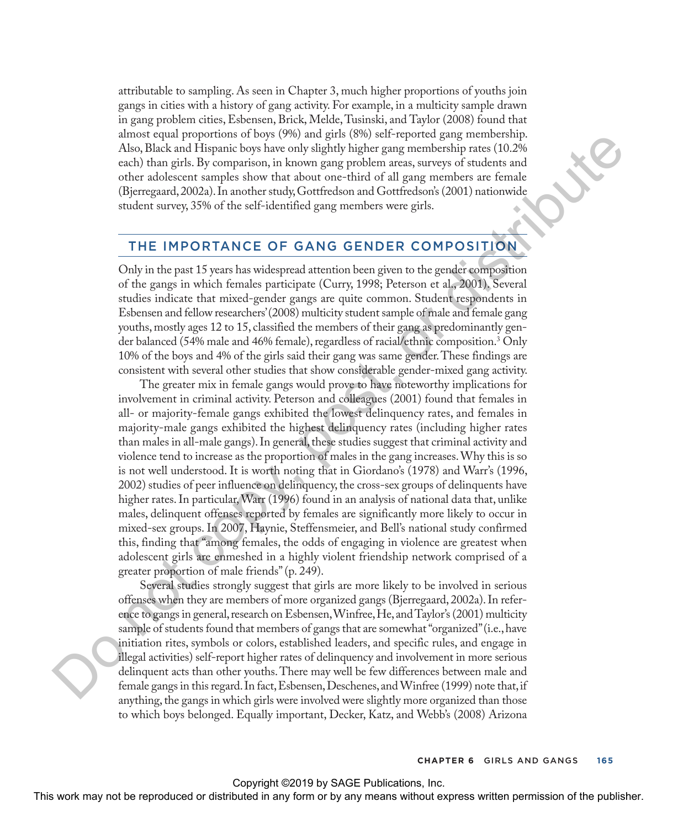attributable to sampling. As seen in Chapter 3, much higher proportions of youths join gangs in cities with a history of gang activity. For example, in a multicity sample drawn in gang problem cities, Esbensen, Brick, Melde, Tusinski, and Taylor (2008) found that almost equal proportions of boys (9%) and girls (8%) self-reported gang membership. Also, Black and Hispanic boys have only slightly higher gang membership rates (10.2% each) than girls. By comparison, in known gang problem areas, surveys of students and other adolescent samples show that about one-third of all gang members are female (Bjerregaard, 2002a). In another study, Gottfredson and Gottfredson's (2001) nationwide student survey, 35% of the self-identified gang members were girls.

# THE IMPORTANCE OF GANG GENDER COMPOSITION

Only in the past 15 years has widespread attention been given to the gender composition of the gangs in which females participate (Curry, 1998; Peterson et al., 2001). Several studies indicate that mixed-gender gangs are quite common. Student respondents in Esbensen and fellow researchers' (2008) multicity student sample of male and female gang youths, mostly ages 12 to 15, classified the members of their gang as predominantly gender balanced (54% male and 46% female), regardless of racial/ethnic composition.3 Only 10% of the boys and 4% of the girls said their gang was same gender. These findings are consistent with several other studies that show considerable gender-mixed gang activity.

The greater mix in female gangs would prove to have noteworthy implications for involvement in criminal activity. Peterson and colleagues (2001) found that females in all- or majority-female gangs exhibited the lowest delinquency rates, and females in majority-male gangs exhibited the highest delinquency rates (including higher rates than males in all-male gangs). In general, these studies suggest that criminal activity and violence tend to increase as the proportion of males in the gang increases. Why this is so is not well understood. It is worth noting that in Giordano's (1978) and Warr's (1996, 2002) studies of peer influence on delinquency, the cross-sex groups of delinquents have higher rates. In particular, Warr (1996) found in an analysis of national data that, unlike males, delinquent offenses reported by females are significantly more likely to occur in mixed-sex groups. In 2007, Haynie, Steffensmeier, and Bell's national study confirmed this, finding that "among females, the odds of engaging in violence are greatest when adolescent girls are enmeshed in a highly violent friendship network comprised of a greater proportion of male friends" (p. 249). The grapheric may not be reproduced or distributed in any form or by an any means when the publisher. The publisher and the publisher and the publisher and the publisher and the publisher. The publishers with the state of

Several studies strongly suggest that girls are more likely to be involved in serious offenses when they are members of more organized gangs (Bjerregaard, 2002a). In reference to gangs in general, research on Esbensen, Winfree, He, and Taylor's (2001) multicity sample of students found that members of gangs that are somewhat "organized" (i.e., have initiation rites, symbols or colors, established leaders, and specific rules, and engage in illegal activities) self-report higher rates of delinquency and involvement in more serious delinquent acts than other youths. There may well be few differences between male and female gangs in this regard. In fact, Esbensen, Deschenes, and Winfree (1999) note that, if anything, the gangs in which girls were involved were slightly more organized than those to which boys belonged. Equally important, Decker, Katz, and Webb's (2008) Arizona

#### **CHAPTER 6** Girls and Gangs **165**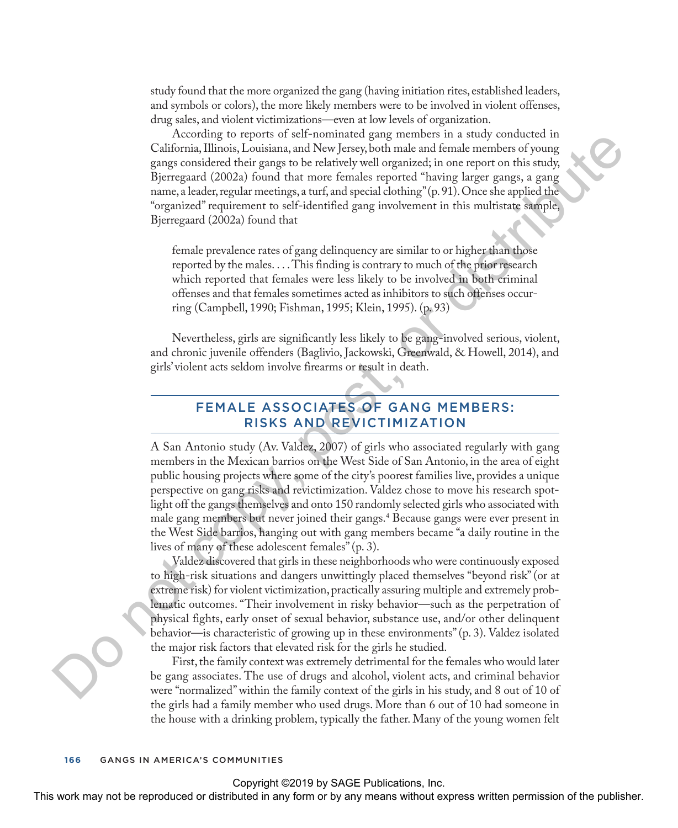study found that the more organized the gang (having initiation rites, established leaders, and symbols or colors), the more likely members were to be involved in violent offenses, drug sales, and violent victimizations—even at low levels of organization.

According to reports of self-nominated gang members in a study conducted in California, Illinois, Louisiana, and New Jersey, both male and female members of young gangs considered their gangs to be relatively well organized; in one report on this study, Bjerregaard (2002a) found that more females reported "having larger gangs, a gang name, a leader, regular meetings, a turf, and special clothing" (p. 91). Once she applied the "organized" requirement to self-identified gang involvement in this multistate sample, Bjerregaard (2002a) found that

female prevalence rates of gang delinquency are similar to or higher than those reported by the males. . . .This finding is contrary to much of the prior research which reported that females were less likely to be involved in both criminal offenses and that females sometimes acted as inhibitors to such offenses occurring (Campbell, 1990; Fishman, 1995; Klein, 1995). (p. 93)

Nevertheless, girls are significantly less likely to be gang-involved serious, violent, and chronic juvenile offenders (Baglivio, Jackowski, Greenwald, & Howell, 2014), and girls' violent acts seldom involve firearms or result in death.

# FEMALE ASSOCIATES OF GANG MEMBERS: RISKS AND REVICTIMIZATION

A San Antonio study (Av. Valdez, 2007) of girls who associated regularly with gang members in the Mexican barrios on the West Side of San Antonio, in the area of eight public housing projects where some of the city's poorest families live, provides a unique perspective on gang risks and revictimization. Valdez chose to move his research spotlight off the gangs themselves and onto 150 randomly selected girls who associated with male gang members but never joined their gangs.4 Because gangs were ever present in the West Side barrios, hanging out with gang members became "a daily routine in the lives of many of these adolescent females" (p. 3). Concerning the representation of the rest constrained in any form or by any form or by any means with the rest in any form of the rest in any form of the rest in any form of the rest in any form of the publisher. The rest

Valdez discovered that girls in these neighborhoods who were continuously exposed to high-risk situations and dangers unwittingly placed themselves "beyond risk" (or at extreme risk) for violent victimization, practically assuring multiple and extremely problematic outcomes. "Their involvement in risky behavior—such as the perpetration of physical fights, early onset of sexual behavior, substance use, and/or other delinquent behavior—is characteristic of growing up in these environments" (p. 3). Valdez isolated the major risk factors that elevated risk for the girls he studied.

First, the family context was extremely detrimental for the females who would later be gang associates. The use of drugs and alcohol, violent acts, and criminal behavior were "normalized" within the family context of the girls in his study, and 8 out of 10 of the girls had a family member who used drugs. More than 6 out of 10 had someone in the house with a drinking problem, typically the father. Many of the young women felt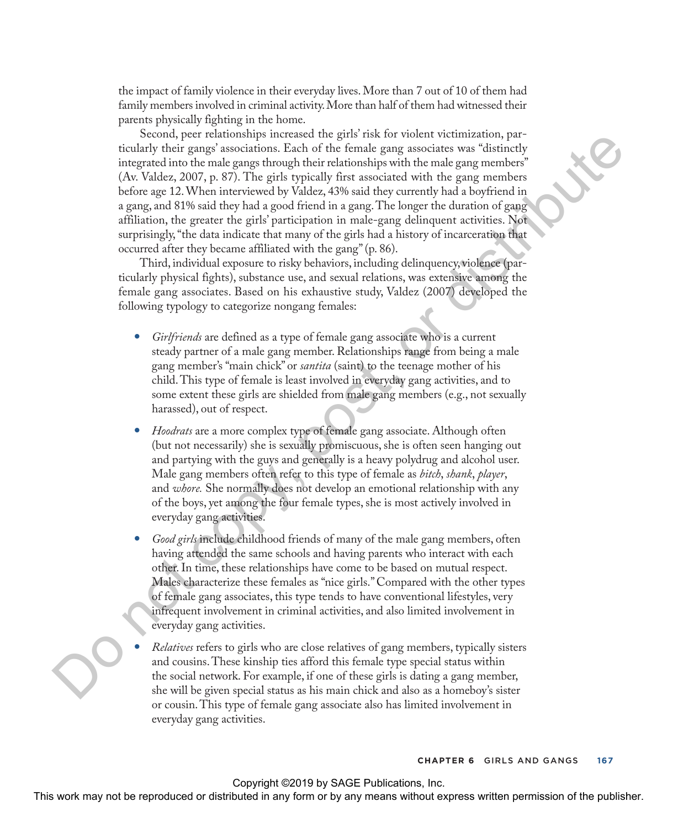the impact of family violence in their everyday lives. More than 7 out of 10 of them had family members involved in criminal activity. More than half of them had witnessed their parents physically fighting in the home.

Second, peer relationships increased the girls' risk for violent victimization, particularly their gangs' associations. Each of the female gang associates was "distinctly integrated into the male gangs through their relationships with the male gang members" (Av. Valdez, 2007, p. 87). The girls typically first associated with the gang members before age 12. When interviewed by Valdez, 43% said they currently had a boyfriend in a gang, and 81% said they had a good friend in a gang. The longer the duration of gang affiliation, the greater the girls' participation in male-gang delinquent activities. Not surprisingly, "the data indicate that many of the girls had a history of incarceration that occurred after they became affiliated with the gang" (p. 86). Second, the repression of the reproduced or distributed in any formula content or the reproduced or the reproduced or the results of the results with  $\langle X_1, Y_2, Y_3 \rangle$ . The publisher or the publisher or the publisher or t

Third, individual exposure to risky behaviors, including delinquency, violence (particularly physical fights), substance use, and sexual relations, was extensive among the female gang associates. Based on his exhaustive study, Valdez (2007) developed the following typology to categorize nongang females:

- *Girlfriends* are defined as a type of female gang associate who is a current steady partner of a male gang member. Relationships range from being a male gang member's "main chick" or *santita* (saint) to the teenage mother of his child. This type of female is least involved in everyday gang activities, and to some extent these girls are shielded from male gang members (e.g., not sexually harassed), out of respect.
- *Hoodrats* are a more complex type of female gang associate. Although often (but not necessarily) she is sexually promiscuous, she is often seen hanging out and partying with the guys and generally is a heavy polydrug and alcohol user. Male gang members often refer to this type of female as *bitch*, *shank*, *player*, and *whore.* She normally does not develop an emotional relationship with any of the boys, yet among the four female types, she is most actively involved in everyday gang activities.
- *Good girls* include childhood friends of many of the male gang members, often having attended the same schools and having parents who interact with each other. In time, these relationships have come to be based on mutual respect. Males characterize these females as "nice girls." Compared with the other types of female gang associates, this type tends to have conventional lifestyles, very infrequent involvement in criminal activities, and also limited involvement in everyday gang activities.

 *Relatives* refers to girls who are close relatives of gang members, typically sisters and cousins. These kinship ties afford this female type special status within the social network. For example, if one of these girls is dating a gang member, she will be given special status as his main chick and also as a homeboy's sister or cousin. This type of female gang associate also has limited involvement in everyday gang activities.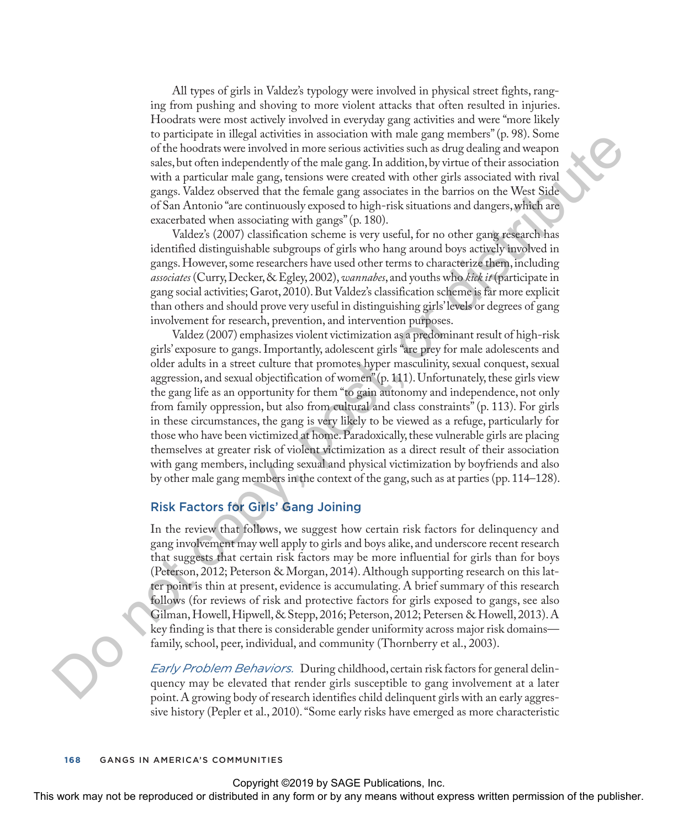All types of girls in Valdez's typology were involved in physical street fights, ranging from pushing and shoving to more violent attacks that often resulted in injuries. Hoodrats were most actively involved in everyday gang activities and were "more likely to participate in illegal activities in association with male gang members" (p. 98). Some of the hoodrats were involved in more serious activities such as drug dealing and weapon sales, but often independently of the male gang. In addition, by virtue of their association with a particular male gang, tensions were created with other girls associated with rival gangs. Valdez observed that the female gang associates in the barrios on the West Side of San Antonio "are continuously exposed to high-risk situations and dangers, which are exacerbated when associating with gangs" (p. 180).

Valdez's (2007) classification scheme is very useful, for no other gang research has identified distinguishable subgroups of girls who hang around boys actively involved in gangs. However, some researchers have used other terms to characterize them, including *associates* (Curry, Decker, & Egley, 2002), *wannabes*, and youths who *kick it* (participate in gang social activities; Garot, 2010). But Valdez's classification scheme is far more explicit than others and should prove very useful in distinguishing girls' levels or degrees of gang involvement for research, prevention, and intervention purposes.

Valdez (2007) emphasizes violent victimization as a predominant result of high-risk girls' exposure to gangs. Importantly, adolescent girls "are prey for male adolescents and older adults in a street culture that promotes hyper masculinity, sexual conquest, sexual aggression, and sexual objectification of women" (p. 111). Unfortunately, these girls view the gang life as an opportunity for them "to gain autonomy and independence, not only from family oppression, but also from cultural and class constraints" (p. 113). For girls in these circumstances, the gang is very likely to be viewed as a refuge, particularly for those who have been victimized at home. Paradoxically, these vulnerable girls are placing themselves at greater risk of violent victimization as a direct result of their association with gang members, including sexual and physical victimization by boyfriends and also by other male gang members in the context of the gang, such as at parties (pp. 114–128). The may not be reproduced or the reproduced or the publisher or the publisher or the publisher or the publisher or the publisher or the publisher or the publisher of the publisher of the publisher of the publisher of the p

# Risk Factors for Girls' Gang Joining

In the review that follows, we suggest how certain risk factors for delinquency and gang involvement may well apply to girls and boys alike, and underscore recent research that suggests that certain risk factors may be more influential for girls than for boys (Peterson, 2012; Peterson & Morgan, 2014). Although supporting research on this latter point is thin at present, evidence is accumulating. A brief summary of this research follows (for reviews of risk and protective factors for girls exposed to gangs, see also Gilman, Howell, Hipwell, & Stepp, 2016; Peterson, 2012; Petersen & Howell, 2013). A key finding is that there is considerable gender uniformity across major risk domains family, school, peer, individual, and community (Thornberry et al., 2003).

*Early Problem Behaviors.* During childhood, certain risk factors for general delinquency may be elevated that render girls susceptible to gang involvement at a later point. A growing body of research identifies child delinquent girls with an early aggressive history (Pepler et al., 2010). "Some early risks have emerged as more characteristic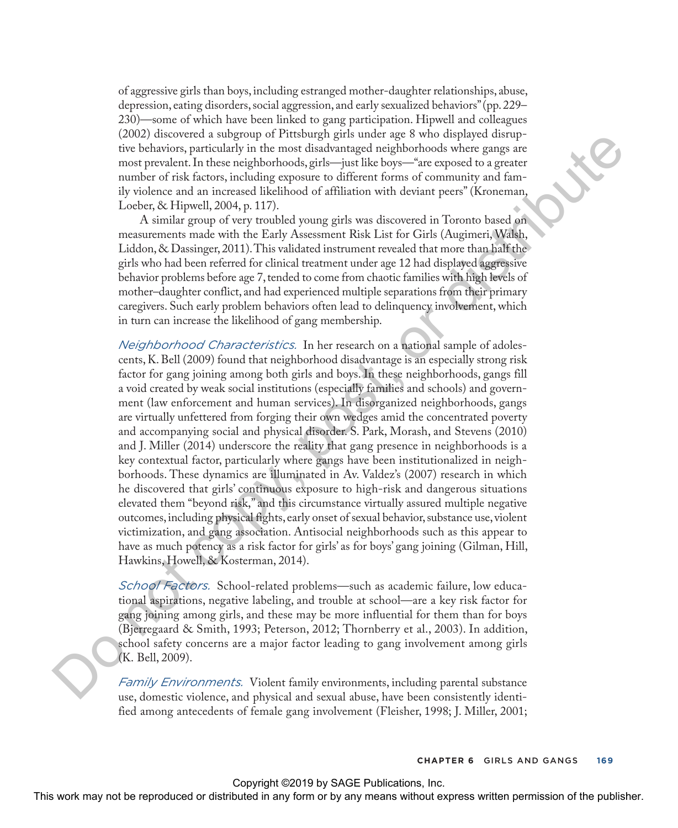of aggressive girls than boys, including estranged mother-daughter relationships, abuse, depression, eating disorders, social aggression, and early sexualized behaviors" (pp. 229– 230)—some of which have been linked to gang participation. Hipwell and colleagues (2002) discovered a subgroup of Pittsburgh girls under age 8 who displayed disruptive behaviors, particularly in the most disadvantaged neighborhoods where gangs are most prevalent. In these neighborhoods, girls—just like boys—"are exposed to a greater number of risk factors, including exposure to different forms of community and family violence and an increased likelihood of affiliation with deviant peers" (Kroneman, Loeber, & Hipwell, 2004, p. 117).

A similar group of very troubled young girls was discovered in Toronto based on measurements made with the Early Assessment Risk List for Girls (Augimeri, Walsh, Liddon, & Dassinger, 2011). This validated instrument revealed that more than half the girls who had been referred for clinical treatment under age 12 had displayed aggressive behavior problems before age 7, tended to come from chaotic families with high levels of mother–daughter conflict, and had experienced multiple separations from their primary caregivers. Such early problem behaviors often lead to delinquency involvement, which in turn can increase the likelihood of gang membership.

*Neighborhood Characteristics.* In her research on a national sample of adolescents, K. Bell (2009) found that neighborhood disadvantage is an especially strong risk factor for gang joining among both girls and boys. In these neighborhoods, gangs fill a void created by weak social institutions (especially families and schools) and government (law enforcement and human services). In disorganized neighborhoods, gangs are virtually unfettered from forging their own wedges amid the concentrated poverty and accompanying social and physical disorder. S. Park, Morash, and Stevens (2010) and J. Miller (2014) underscore the reality that gang presence in neighborhoods is a key contextual factor, particularly where gangs have been institutionalized in neighborhoods. These dynamics are illuminated in Av. Valdez's (2007) research in which he discovered that girls' continuous exposure to high-risk and dangerous situations elevated them "beyond risk," and this circumstance virtually assured multiple negative outcomes, including physical fights, early onset of sexual behavior, substance use, violent victimization, and gang association. Antisocial neighborhoods such as this appear to have as much potency as a risk factor for girls' as for boys' gang joining (Gilman, Hill, Hawkins, Howell, & Kosterman, 2014). Course of the reproduced or the reproduced or distributed in any means we represented in any means with the reproduced in any form or by any means with the represented in the reproduced in any form of the publisher. In an

*School Factors.* School-related problems—such as academic failure, low educational aspirations, negative labeling, and trouble at school—are a key risk factor for gang joining among girls, and these may be more influential for them than for boys (Bjerregaard & Smith, 1993; Peterson, 2012; Thornberry et al., 2003). In addition, school safety concerns are a major factor leading to gang involvement among girls (K. Bell, 2009).

*Family Environments.* Violent family environments, including parental substance use, domestic violence, and physical and sexual abuse, have been consistently identified among antecedents of female gang involvement (Fleisher, 1998; J. Miller, 2001;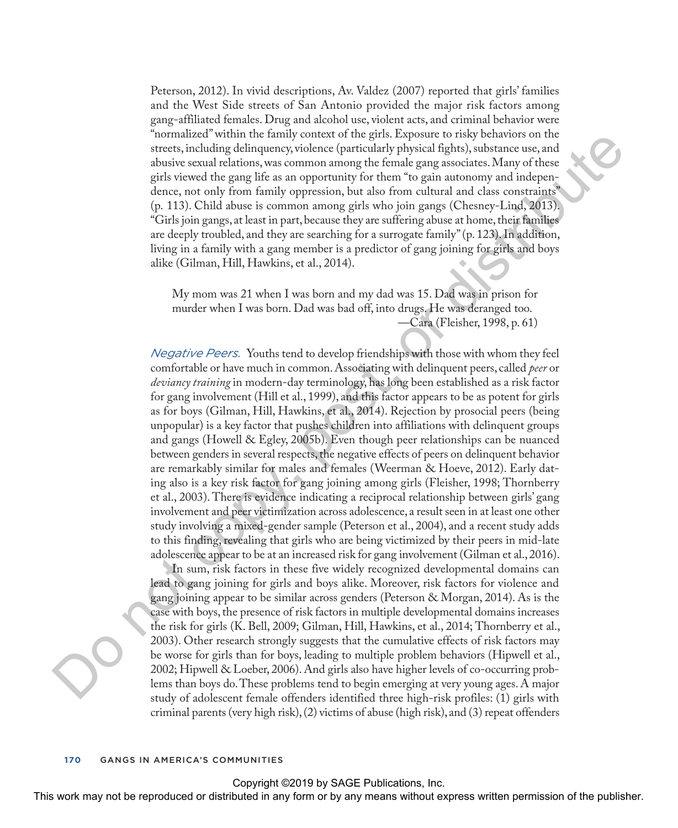Peterson, 2012). In vivid descriptions, Av. Valdez (2007) reported that girls' families and the West Side streets of San Antonio provided the major risk factors among gang-affiliated females. Drug and alcohol use, violent acts, and criminal behavior were "normalized" within the family context of the girls. Exposure to risky behaviors on the streets, including delinquency, violence (particularly physical fights), substance use, and abusive sexual relations, was common among the female gang associates. Many of these girls viewed the gang life as an opportunity for them "to gain autonomy and independence, not only from family oppression, but also from cultural and class constraints (p. 113). Child abuse is common among girls who join gangs (Chesney-Lind, 2013). "Girls join gangs, at least in part, because they are suffering abuse at home, their families are deeply troubled, and they are searching for a surrogate family" (p. 123). In addition, living in a family with a gang member is a predictor of gang joining for girls and boys alike (Gilman, Hill, Hawkins, et al., 2014).

My mom was 21 when I was born and my dad was 15. Dad was in prison for murder when I was born. Dad was bad off, into drugs. He was deranged too. —Cara (Fleisher, 1998, p. 61)

*Negative Peers.* Youths tend to develop friendships with those with whom they feel comfortable or have much in common. Associating with delinquent peers, called *peer* or *deviancy training* in modern-day terminology, has long been established as a risk factor for gang involvement (Hill et al., 1999), and this factor appears to be as potent for girls as for boys (Gilman, Hill, Hawkins, et al., 2014). Rejection by prosocial peers (being unpopular) is a key factor that pushes children into affiliations with delinquent groups and gangs (Howell & Egley, 2005b). Even though peer relationships can be nuanced between genders in several respects, the negative effects of peers on delinquent behavior are remarkably similar for males and females (Weerman & Hoeve, 2012). Early dating also is a key risk factor for gang joining among girls (Fleisher, 1998; Thornberry et al., 2003). There is evidence indicating a reciprocal relationship between girls' gang involvement and peer victimization across adolescence, a result seen in at least one other study involving a mixed-gender sample (Peterson et al., 2004), and a recent study adds to this finding, revealing that girls who are being victimized by their peers in mid-late adolescence appear to be at an increased risk for gang involvement (Gilman et al., 2016). The results of the results of the results with the results of the results of the results of the results of the results of the results of the results of the results of the results of the results of the results of the publi

In sum, risk factors in these five widely recognized developmental domains can lead to gang joining for girls and boys alike. Moreover, risk factors for violence and gang joining appear to be similar across genders (Peterson & Morgan, 2014). As is the case with boys, the presence of risk factors in multiple developmental domains increases the risk for girls (K. Bell, 2009; Gilman, Hill, Hawkins, et al., 2014; Thornberry et al., 2003). Other research strongly suggests that the cumulative effects of risk factors may be worse for girls than for boys, leading to multiple problem behaviors (Hipwell et al., 2002; Hipwell & Loeber, 2006). And girls also have higher levels of co-occurring problems than boys do. These problems tend to begin emerging at very young ages. A major study of adolescent female offenders identified three high-risk profiles: (1) girls with criminal parents (very high risk), (2) victims of abuse (high risk), and (3) repeat offenders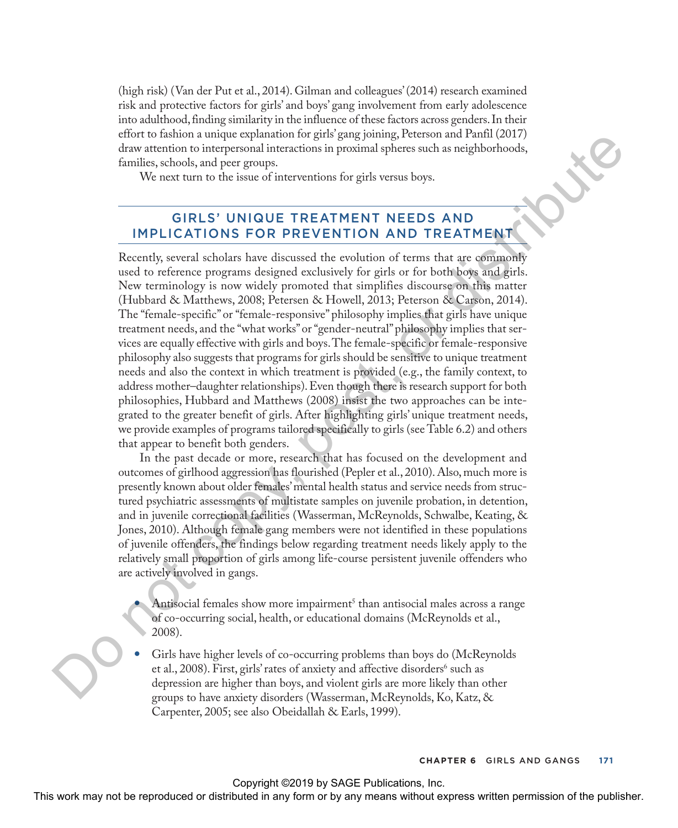(high risk) (Van der Put et al., 2014). Gilman and colleagues' (2014) research examined risk and protective factors for girls' and boys' gang involvement from early adolescence into adulthood, finding similarity in the influence of these factors across genders. In their effort to fashion a unique explanation for girls' gang joining, Peterson and Panfil (2017) draw attention to interpersonal interactions in proximal spheres such as neighborhoods, families, schools, and peer groups.

We next turn to the issue of interventions for girls versus boys.

# GIRLS' UNIQUE TREATMENT NEEDS AND IMPLICATIONS FOR PREVENTION AND TREATMENT

Recently, several scholars have discussed the evolution of terms that are commonly used to reference programs designed exclusively for girls or for both boys and girls. New terminology is now widely promoted that simplifies discourse on this matter (Hubbard & Matthews, 2008; Petersen & Howell, 2013; Peterson & Carson, 2014). The "female-specific" or "female-responsive" philosophy implies that girls have unique treatment needs, and the "what works" or "gender-neutral" philosophy implies that services are equally effective with girls and boys. The female-specific or female-responsive philosophy also suggests that programs for girls should be sensitive to unique treatment needs and also the context in which treatment is provided (e.g., the family context, to address mother–daughter relationships). Even though there is research support for both philosophies, Hubbard and Matthews (2008) insist the two approaches can be integrated to the greater benefit of girls. After highlighting girls' unique treatment needs, we provide examples of programs tailored specifically to girls (see Table 6.2) and others that appear to benefit both genders. For the matter or the reproduced or the representation or any form or by any form or be reproduced in any form or by any means when  $\alpha$  any form or by any form or be representation of the publisher. We note that the beha

In the past decade or more, research that has focused on the development and outcomes of girlhood aggression has flourished (Pepler et al., 2010). Also, much more is presently known about older females' mental health status and service needs from structured psychiatric assessments of multistate samples on juvenile probation, in detention, and in juvenile correctional facilities (Wasserman, McReynolds, Schwalbe, Keating, & Jones, 2010). Although female gang members were not identified in these populations of juvenile offenders, the findings below regarding treatment needs likely apply to the relatively small proportion of girls among life-course persistent juvenile offenders who are actively involved in gangs.

Antisocial females show more impairment<sup>5</sup> than antisocial males across a range of co-occurring social, health, or educational domains (McReynolds et al., 2008).

 Girls have higher levels of co-occurring problems than boys do (McReynolds et al., 2008). First, girls' rates of anxiety and affective disorders<sup>6</sup> such as depression are higher than boys, and violent girls are more likely than other groups to have anxiety disorders (Wasserman, McReynolds, Ko, Katz, & Carpenter, 2005; see also Obeidallah & Earls, 1999).

## **CHAPTER 6** Girls and Gangs **171**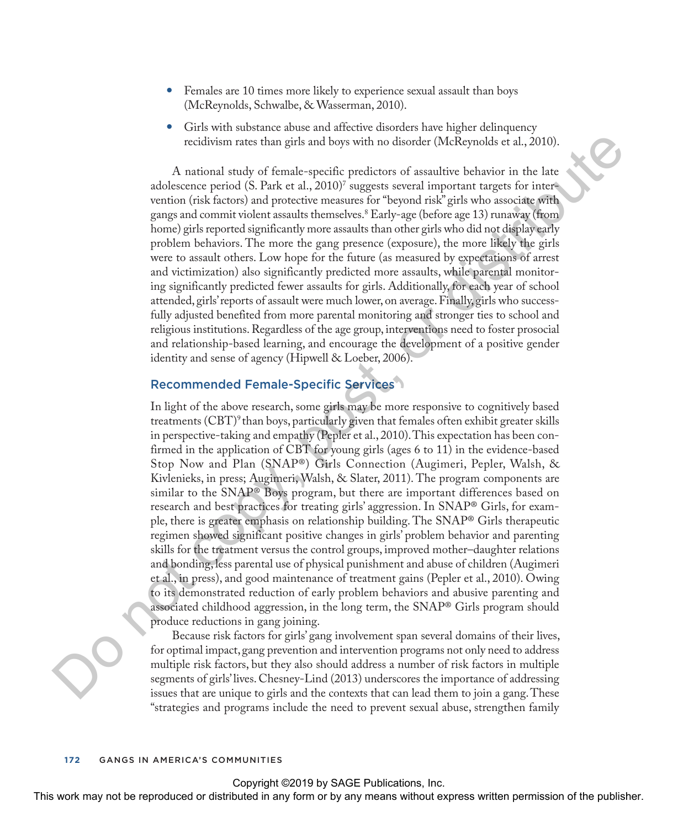- Females are 10 times more likely to experience sexual assault than boys (McReynolds, Schwalbe, & Wasserman, 2010).
- Girls with substance abuse and affective disorders have higher delinquency recidivism rates than girls and boys with no disorder (McReynolds et al., 2010).

A national study of female-specific predictors of assaultive behavior in the late adolescence period (S. Park et al., 2010)7 suggests several important targets for intervention (risk factors) and protective measures for "beyond risk" girls who associate with gangs and commit violent assaults themselves.8 Early-age (before age 13) runaway (from home) girls reported significantly more assaults than other girls who did not display early problem behaviors. The more the gang presence (exposure), the more likely the girls were to assault others. Low hope for the future (as measured by expectations of arrest and victimization) also significantly predicted more assaults, while parental monitoring significantly predicted fewer assaults for girls. Additionally, for each year of school attended, girls' reports of assault were much lower, on average. Finally, girls who successfully adjusted benefited from more parental monitoring and stronger ties to school and religious institutions. Regardless of the age group, interventions need to foster prosocial and relationship-based learning, and encourage the development of a positive gender identity and sense of agency (Hipwell & Loeber, 2006).

## Recommended Female-Specific Services

In light of the above research, some girls may be more responsive to cognitively based treatments  $(CBT)^9$  than boys, particularly given that females often exhibit greater skills in perspective-taking and empathy (Pepler et al., 2010). This expectation has been confirmed in the application of CBT for young girls (ages 6 to 11) in the evidence-based Stop Now and Plan (SNAP®) Girls Connection (Augimeri, Pepler, Walsh, & Kivlenieks, in press; Augimeri, Walsh, & Slater, 2011). The program components are similar to the  $SNAP^{\circledast}$  Boys program, but there are important differences based on research and best practices for treating girls' aggression. In SNAP® Girls, for example, there is greater emphasis on relationship building. The SNAP® Girls therapeutic regimen showed significant positive changes in girls' problem behavior and parenting skills for the treatment versus the control groups, improved mother–daughter relations and bonding, less parental use of physical punishment and abuse of children (Augimeri et al., in press), and good maintenance of treatment gains (Pepler et al., 2010). Owing to its demonstrated reduction of early problem behaviors and abusive parenting and associated childhood aggression, in the long term, the SNAP® Girls program should produce reductions in gang joining. recidivism nets than alloho or with no distributed in all  $\mu$ . A noticidal the result of the result of the result of the result of the result of the result of the result of the result of the result of the result of the r

Because risk factors for girls' gang involvement span several domains of their lives, for optimal impact, gang prevention and intervention programs not only need to address multiple risk factors, but they also should address a number of risk factors in multiple segments of girls' lives. Chesney-Lind (2013) underscores the importance of addressing issues that are unique to girls and the contexts that can lead them to join a gang. These "strategies and programs include the need to prevent sexual abuse, strengthen family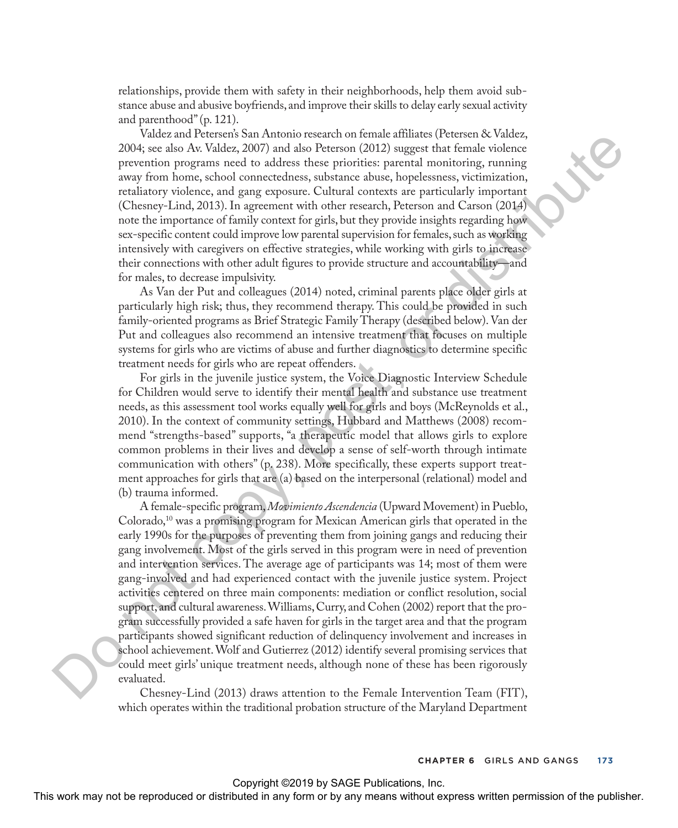relationships, provide them with safety in their neighborhoods, help them avoid substance abuse and abusive boyfriends, and improve their skills to delay early sexual activity and parenthood" (p. 121).

Valdez and Petersen's San Antonio research on female affiliates (Petersen & Valdez, 2004; see also Av. Valdez, 2007) and also Peterson (2012) suggest that female violence prevention programs need to address these priorities: parental monitoring, running away from home, school connectedness, substance abuse, hopelessness, victimization, retaliatory violence, and gang exposure. Cultural contexts are particularly important (Chesney-Lind, 2013). In agreement with other research, Peterson and Carson (2014) note the importance of family context for girls, but they provide insights regarding how sex-specific content could improve low parental supervision for females, such as working intensively with caregivers on effective strategies, while working with girls to increase their connections with other adult figures to provide structure and accountability—and for males, to decrease impulsivity.

As Van der Put and colleagues (2014) noted, criminal parents place older girls at particularly high risk; thus, they recommend therapy. This could be provided in such family-oriented programs as Brief Strategic Family Therapy (described below). Van der Put and colleagues also recommend an intensive treatment that focuses on multiple systems for girls who are victims of abuse and further diagnostics to determine specific treatment needs for girls who are repeat offenders.

For girls in the juvenile justice system, the Voice Diagnostic Interview Schedule for Children would serve to identify their mental health and substance use treatment needs, as this assessment tool works equally well for girls and boys (McReynolds et al., 2010). In the context of community settings, Hubbard and Matthews (2008) recommend "strengths-based" supports, "a therapeutic model that allows girls to explore common problems in their lives and develop a sense of self-worth through intimate communication with others" (p. 238). More specifically, these experts support treatment approaches for girls that are (a) based on the interpersonal (relational) model and (b) trauma informed.

A female-specific program, *Movimiento Ascendencia* (Upward Movement) in Pueblo, Colorado,<sup>10</sup> was a promising program for Mexican American girls that operated in the early 1990s for the purposes of preventing them from joining gangs and reducing their gang involvement. Most of the girls served in this program were in need of prevention and intervention services. The average age of participants was 14; most of them were gang-involved and had experienced contact with the juvenile justice system. Project activities centered on three main components: mediation or conflict resolution, social support, and cultural awareness. Williams, Curry, and Cohen (2002) report that the program successfully provided a safe haven for girls in the target area and that the program participants showed significant reduction of delinquency involvement and increases in school achievement. Wolf and Gutierrez (2012) identify several promising services that could meet girls' unique treatment needs, although none of these has been rigorously evaluated. The mass of the repression of the repression or between or between the repression or between the repression or the publisher. The repression of the publisher and the publisher. The repression of the publisher and the pub

Chesney-Lind (2013) draws attention to the Female Intervention Team (FIT), which operates within the traditional probation structure of the Maryland Department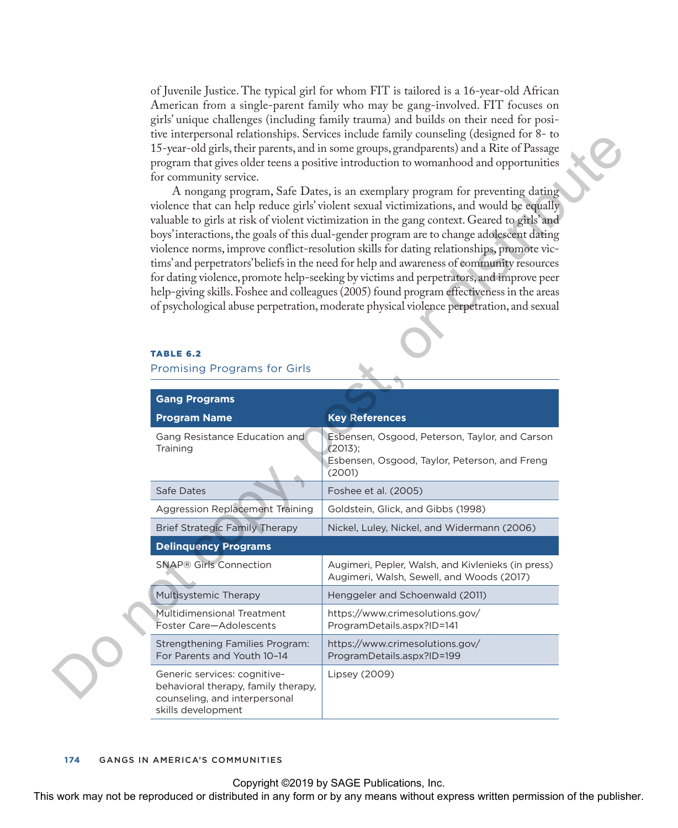of Juvenile Justice. The typical girl for whom FIT is tailored is a 16-year-old African American from a single-parent family who may be gang-involved. FIT focuses on girls' unique challenges (including family trauma) and builds on their need for positive interpersonal relationships. Services include family counseling (designed for 8- to 15-year-old girls, their parents, and in some groups, grandparents) and a Rite of Passage program that gives older teens a positive introduction to womanhood and opportunities for community service.

#### TABLE 6.2

#### Promising Programs for Girls

|                                                                                                                            | A nongang program, Safe Dates, is an exemplary program for preventing dating<br>violence that can help reduce girls' violent sexual victimizations, and would be equally<br>valuable to girls at risk of violent victimization in the gang context. Geared to girls' and<br>boys' interactions, the goals of this dual-gender program are to change adolescent dating<br>violence norms, improve conflict-resolution skills for dating relationships, promote vic-<br>tims' and perpetrators' beliefs in the need for help and awareness of community resources<br>for dating violence, promote help-seeking by victims and perpetrators, and improve peer<br>help-giving skills. Foshee and colleagues (2005) found program effectiveness in the areas |  |
|----------------------------------------------------------------------------------------------------------------------------|---------------------------------------------------------------------------------------------------------------------------------------------------------------------------------------------------------------------------------------------------------------------------------------------------------------------------------------------------------------------------------------------------------------------------------------------------------------------------------------------------------------------------------------------------------------------------------------------------------------------------------------------------------------------------------------------------------------------------------------------------------|--|
| <b>TABLE 6.2</b>                                                                                                           | of psychological abuse perpetration, moderate physical violence perpetration, and sexual                                                                                                                                                                                                                                                                                                                                                                                                                                                                                                                                                                                                                                                                |  |
| <b>Promising Programs for Girls</b>                                                                                        |                                                                                                                                                                                                                                                                                                                                                                                                                                                                                                                                                                                                                                                                                                                                                         |  |
| <b>Gang Programs</b>                                                                                                       |                                                                                                                                                                                                                                                                                                                                                                                                                                                                                                                                                                                                                                                                                                                                                         |  |
| <b>Program Name</b>                                                                                                        | <b>Key References</b>                                                                                                                                                                                                                                                                                                                                                                                                                                                                                                                                                                                                                                                                                                                                   |  |
| Gang Resistance Education and<br>Training                                                                                  | Esbensen, Osgood, Peterson, Taylor, and Carson<br>(2013);<br>Esbensen, Osgood, Taylor, Peterson, and Freng<br>(2001)                                                                                                                                                                                                                                                                                                                                                                                                                                                                                                                                                                                                                                    |  |
| Safe Dates                                                                                                                 | Foshee et al. (2005)                                                                                                                                                                                                                                                                                                                                                                                                                                                                                                                                                                                                                                                                                                                                    |  |
| <b>Aggression Replacement Training</b>                                                                                     | Goldstein, Glick, and Gibbs (1998)                                                                                                                                                                                                                                                                                                                                                                                                                                                                                                                                                                                                                                                                                                                      |  |
| <b>Brief Strategic Family Therapy</b>                                                                                      | Nickel, Luley, Nickel, and Widermann (2006)                                                                                                                                                                                                                                                                                                                                                                                                                                                                                                                                                                                                                                                                                                             |  |
| <b>Delinquency Programs</b>                                                                                                |                                                                                                                                                                                                                                                                                                                                                                                                                                                                                                                                                                                                                                                                                                                                                         |  |
| <b>SNAP® Girls Connection</b>                                                                                              | Augimeri, Pepler, Walsh, and Kivlenieks (in press)<br>Augimeri, Walsh, Sewell, and Woods (2017)                                                                                                                                                                                                                                                                                                                                                                                                                                                                                                                                                                                                                                                         |  |
| Multisystemic Therapy                                                                                                      | Henggeler and Schoenwald (2011)                                                                                                                                                                                                                                                                                                                                                                                                                                                                                                                                                                                                                                                                                                                         |  |
| Multidimensional Treatment<br>Foster Care—Adolescents                                                                      | https://www.crimesolutions.gov/<br>ProgramDetails.aspx?ID=141                                                                                                                                                                                                                                                                                                                                                                                                                                                                                                                                                                                                                                                                                           |  |
| <b>Strengthening Families Program:</b><br>For Parents and Youth 10-14                                                      | https://www.crimesolutions.gov/<br>ProgramDetails.aspx?ID=199                                                                                                                                                                                                                                                                                                                                                                                                                                                                                                                                                                                                                                                                                           |  |
| Generic services: cognitive-<br>behavioral therapy, family therapy,<br>counseling, and interpersonal<br>skills development | Lipsey (2009)                                                                                                                                                                                                                                                                                                                                                                                                                                                                                                                                                                                                                                                                                                                                           |  |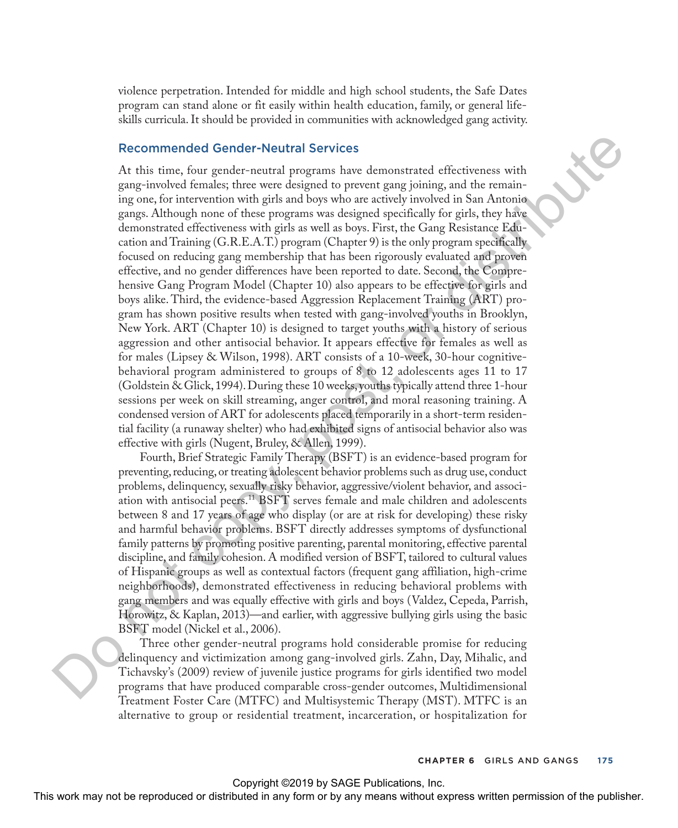violence perpetration. Intended for middle and high school students, the Safe Dates program can stand alone or fit easily within health education, family, or general lifeskills curricula. It should be provided in communities with acknowledged gang activity.

## Recommended Gender-Neutral Services

At this time, four gender-neutral programs have demonstrated effectiveness with gang-involved females; three were designed to prevent gang joining, and the remaining one, for intervention with girls and boys who are actively involved in San Antonio gangs. Although none of these programs was designed specifically for girls, they have demonstrated effectiveness with girls as well as boys. First, the Gang Resistance Education and Training (G.R.E.A.T.) program (Chapter 9) is the only program specifically focused on reducing gang membership that has been rigorously evaluated and proven effective, and no gender differences have been reported to date. Second, the Comprehensive Gang Program Model (Chapter 10) also appears to be effective for girls and boys alike. Third, the evidence-based Aggression Replacement Training (ART) program has shown positive results when tested with gang-involved youths in Brooklyn, New York. ART (Chapter 10) is designed to target youths with a history of serious aggression and other antisocial behavior. It appears effective for females as well as for males (Lipsey & Wilson, 1998). ART consists of a 10-week, 30-hour cognitivebehavioral program administered to groups of 8 to 12 adolescents ages 11 to 17 (Goldstein & Glick, 1994). During these 10 weeks, youths typically attend three 1-hour sessions per week on skill streaming, anger control, and moral reasoning training. A condensed version of ART for adolescents placed temporarily in a short-term residential facility (a runaway shelter) who had exhibited signs of antisocial behavior also was effective with girls (Nugent, Bruley, & Allen, 1999). Record or ender Neutral Services<br>Arthitective and the resident or distributed in any form of the results and the results of the results of the results of the results of the results of the publisher. The results of the pub

Fourth, Brief Strategic Family Therapy (BSFT) is an evidence-based program for preventing, reducing, or treating adolescent behavior problems such as drug use, conduct problems, delinquency, sexually risky behavior, aggressive/violent behavior, and association with antisocial peers.11 BSFT serves female and male children and adolescents between 8 and 17 years of age who display (or are at risk for developing) these risky and harmful behavior problems. BSFT directly addresses symptoms of dysfunctional family patterns by promoting positive parenting, parental monitoring, effective parental discipline, and family cohesion. A modified version of BSFT, tailored to cultural values of Hispanic groups as well as contextual factors (frequent gang affiliation, high-crime neighborhoods), demonstrated effectiveness in reducing behavioral problems with gang members and was equally effective with girls and boys (Valdez, Cepeda, Parrish, Horowitz, & Kaplan, 2013)—and earlier, with aggressive bullying girls using the basic BSFT model (Nickel et al., 2006).

Three other gender-neutral programs hold considerable promise for reducing delinquency and victimization among gang-involved girls. Zahn, Day, Mihalic, and Tichavsky's (2009) review of juvenile justice programs for girls identified two model programs that have produced comparable cross-gender outcomes, Multidimensional Treatment Foster Care (MTFC) and Multisystemic Therapy (MST). MTFC is an alternative to group or residential treatment, incarceration, or hospitalization for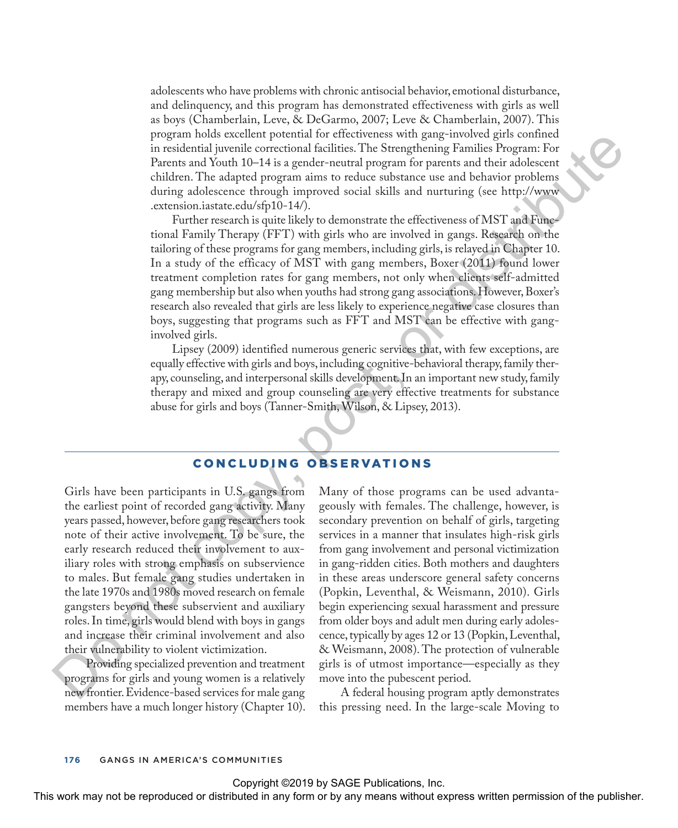adolescents who have problems with chronic antisocial behavior, emotional disturbance, and delinquency, and this program has demonstrated effectiveness with girls as well as boys (Chamberlain, Leve, & DeGarmo, 2007; Leve & Chamberlain, 2007). This program holds excellent potential for effectiveness with gang-involved girls confined in residential juvenile correctional facilities. The Strengthening Families Program: For Parents and Youth 10–14 is a gender-neutral program for parents and their adolescent children. The adapted program aims to reduce substance use and behavior problems during adolescence through improved social skills and nurturing (see http://www .extension.iastate.edu/sfp10-14/).

Further research is quite likely to demonstrate the effectiveness of MST and Functional Family Therapy (FFT) with girls who are involved in gangs. Research on the tailoring of these programs for gang members, including girls, is relayed in Chapter 10. In a study of the efficacy of MST with gang members, Boxer (2011) found lower treatment completion rates for gang members, not only when clients self-admitted gang membership but also when youths had strong gang associations. However, Boxer's research also revealed that girls are less likely to experience negative case closures than boys, suggesting that programs such as FFT and MST can be effective with ganginvolved girls. From the rest in the reproduced or the methods with the rest in any first model or the publisher. The alternative permission with the publisher permission of the publisher and the publisher. The distributed in any means w

Lipsey (2009) identified numerous generic services that, with few exceptions, are equally effective with girls and boys, including cognitive-behavioral therapy, family therapy, counseling, and interpersonal skills development. In an important new study, family therapy and mixed and group counseling are very effective treatments for substance abuse for girls and boys (Tanner-Smith, Wilson, & Lipsey, 2013).

## CONCLUDING OBSERVATIONS

Girls have been participants in U.S. gangs from the earliest point of recorded gang activity. Many years passed, however, before gang researchers took note of their active involvement. To be sure, the early research reduced their involvement to auxiliary roles with strong emphasis on subservience to males. But female gang studies undertaken in the late 1970s and 1980s moved research on female gangsters beyond these subservient and auxiliary roles. In time, girls would blend with boys in gangs and increase their criminal involvement and also their vulnerability to violent victimization.

Providing specialized prevention and treatment programs for girls and young women is a relatively new frontier. Evidence-based services for male gang members have a much longer history (Chapter 10).

Many of those programs can be used advantageously with females. The challenge, however, is secondary prevention on behalf of girls, targeting services in a manner that insulates high-risk girls from gang involvement and personal victimization in gang-ridden cities. Both mothers and daughters in these areas underscore general safety concerns (Popkin, Leventhal, & Weismann, 2010). Girls begin experiencing sexual harassment and pressure from older boys and adult men during early adolescence, typically by ages 12 or 13 (Popkin, Leventhal, & Weismann, 2008). The protection of vulnerable girls is of utmost importance—especially as they move into the pubescent period.

A federal housing program aptly demonstrates this pressing need. In the large-scale Moving to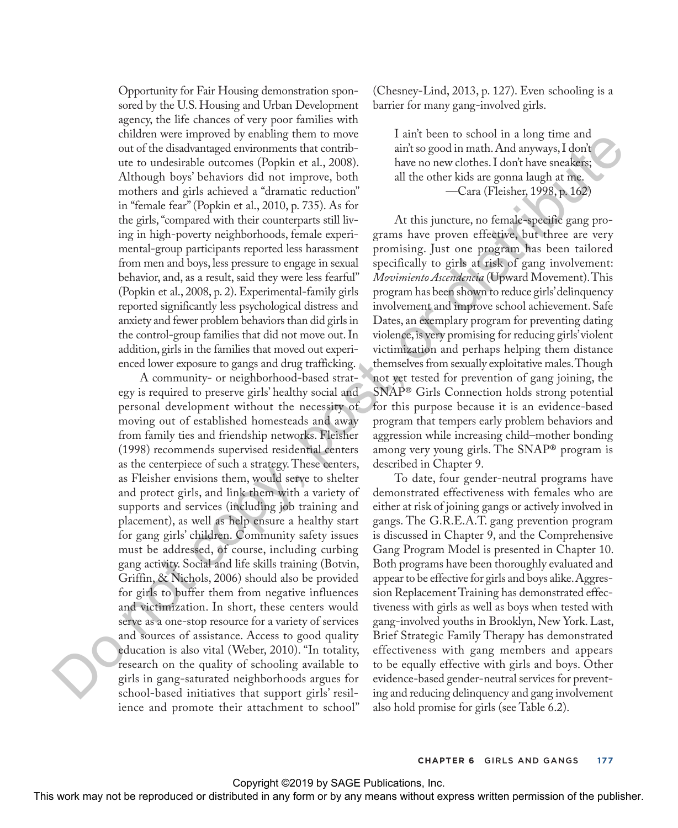Opportunity for Fair Housing demonstration sponsored by the U.S. Housing and Urban Development agency, the life chances of very poor families with children were improved by enabling them to move out of the disadvantaged environments that contribute to undesirable outcomes (Popkin et al., 2008). Although boys' behaviors did not improve, both mothers and girls achieved a "dramatic reduction" in "female fear" (Popkin et al., 2010, p. 735). As for the girls, "compared with their counterparts still living in high-poverty neighborhoods, female experimental-group participants reported less harassment from men and boys, less pressure to engage in sexual behavior, and, as a result, said they were less fearful" (Popkin et al., 2008, p. 2). Experimental-family girls reported significantly less psychological distress and anxiety and fewer problem behaviors than did girls in the control-group families that did not move out. In addition, girls in the families that moved out experienced lower exposure to gangs and drug trafficking.

A community- or neighborhood-based strategy is required to preserve girls' healthy social and personal development without the necessity of moving out of established homesteads and away from family ties and friendship networks. Fleisher (1998) recommends supervised residential centers as the centerpiece of such a strategy. These centers, as Fleisher envisions them, would serve to shelter and protect girls, and link them with a variety of supports and services (including job training and placement), as well as help ensure a healthy start for gang girls' children. Community safety issues must be addressed, of course, including curbing gang activity. Social and life skills training (Botvin, Griffin, & Nichols, 2006) should also be provided for girls to buffer them from negative influences and victimization. In short, these centers would serve as a one-stop resource for a variety of services and sources of assistance. Access to good quality education is also vital (Weber, 2010). "In totality, research on the quality of schooling available to girls in gang-saturated neighborhoods argues for school-based initiatives that support girls' resilience and promote their attachment to school" The control or the control or distributed in any form or by any form or by any form or by any form or by any form or by any means with  $\alpha$  any  $\alpha$  any  $\alpha$  any  $\alpha$  any  $\alpha$  any  $\alpha$  be represented a sinuature with  $\alpha$ 

(Chesney-Lind, 2013, p. 127). Even schooling is a barrier for many gang-involved girls.

I ain't been to school in a long time and ain't so good in math. And anyways, I don't have no new clothes. I don't have sneakers; all the other kids are gonna laugh at me. —Cara (Fleisher, 1998, p. 162)

At this juncture, no female-specific gang programs have proven effective, but three are very promising. Just one program has been tailored specifically to girls at risk of gang involvement: *Movimiento Ascendencia* (Upward Movement). This program has been shown to reduce girls' delinquency involvement and improve school achievement. Safe Dates, an exemplary program for preventing dating violence, is very promising for reducing girls' violent victimization and perhaps helping them distance themselves from sexually exploitative males. Though not yet tested for prevention of gang joining, the SNAP® Girls Connection holds strong potential for this purpose because it is an evidence-based program that tempers early problem behaviors and aggression while increasing child–mother bonding among very young girls. The SNAP® program is described in Chapter 9.

To date, four gender-neutral programs have demonstrated effectiveness with females who are either at risk of joining gangs or actively involved in gangs. The G.R.E.A.T. gang prevention program is discussed in Chapter 9, and the Comprehensive Gang Program Model is presented in Chapter 10. Both programs have been thoroughly evaluated and appear to be effective for girls and boys alike. Aggression Replacement Training has demonstrated effectiveness with girls as well as boys when tested with gang-involved youths in Brooklyn, New York. Last, Brief Strategic Family Therapy has demonstrated effectiveness with gang members and appears to be equally effective with girls and boys. Other evidence-based gender-neutral services for preventing and reducing delinquency and gang involvement also hold promise for girls (see Table 6.2).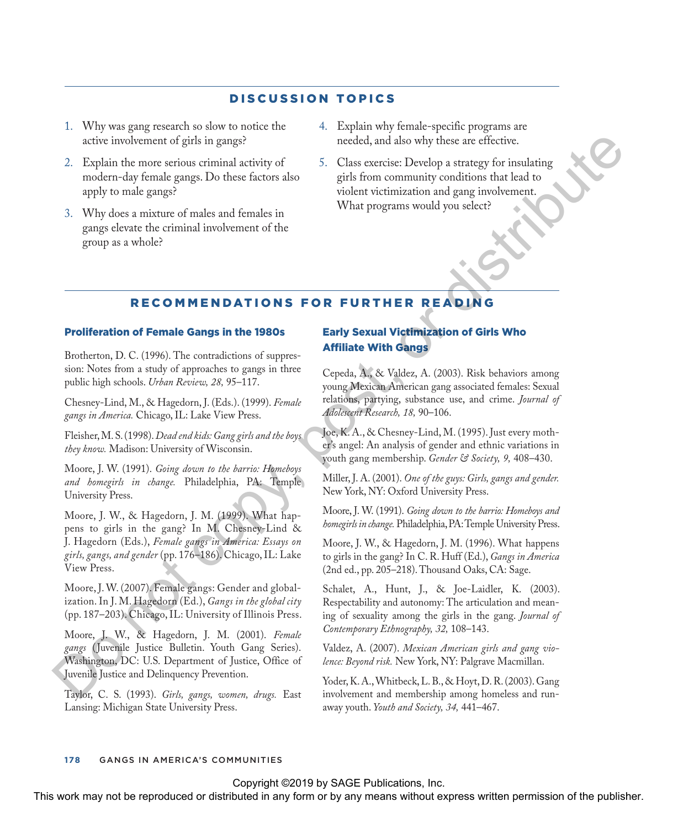# DISCUSSION TOPICS

- 1. Why was gang research so slow to notice the active involvement of girls in gangs?
- 2. Explain the more serious criminal activity of modern-day female gangs. Do these factors also apply to male gangs?
- 3. Why does a mixture of males and females in gangs elevate the criminal involvement of the group as a whole?
- 4. Explain why female-specific programs are needed, and also why these are effective.
- 5. Class exercise: Develop a strategy for insulating girls from community conditions that lead to violent victimization and gang involvement. What programs would you select?

# RECOMMENDATIONS FOR FURTHER READING

## Proliferation of Female Gangs in the 1980s

Brotherton, D. C. (1996). The contradictions of suppression: Notes from a study of approaches to gangs in three public high schools. *Urban Review, 28,* 95–117.

Chesney-Lind, M., & Hagedorn, J. (Eds.). (1999). *Female gangs in America.* Chicago, IL: Lake View Press.

Fleisher, M. S. (1998). *Dead end kids: Gang girls and the boys they know.* Madison: University of Wisconsin.

Moore, J. W. (1991). *Going down to the barrio: Homeboys and homegirls in change.* Philadelphia, PA: Temple University Press.

Moore, J. W., & Hagedorn, J. M. (1999). What happens to girls in the gang? In M. Chesney-Lind & J. Hagedorn (Eds.), *Female gangs in America: Essays on girls, gangs, and gender* (pp. 176–186). Chicago, IL: Lake View Press. Although the representation of the representation of the representation or distributed in any form or by an explicit of the reproduced or distributed in a final control or the publisher in a state of the publisher of the

Moore, J. W. (2007). Female gangs: Gender and globalization. In J. M. Hagedorn (Ed.), *Gangs in the global city* (pp. 187–203). Chicago, IL: University of Illinois Press.

Moore, J. W., & Hagedorn, J. M. (2001). *Female gangs* ( Juvenile Justice Bulletin. Youth Gang Series). Washington, DC: U.S. Department of Justice, Office of Juvenile Justice and Delinquency Prevention.

Taylor, C. S. (1993). *Girls, gangs, women, drugs.* East Lansing: Michigan State University Press.

# Early Sexual Victimization of Girls Who Affiliate With Gangs

Cepeda, A., & Valdez, A. (2003). Risk behaviors among young Mexican American gang associated females: Sexual relations, partying, substance use, and crime. *Journal of Adolescent Research, 18,* 90–106.

Joe, K. A., & Chesney-Lind, M. (1995). Just every mother's angel: An analysis of gender and ethnic variations in youth gang membership. *Gender & Society, 9,* 408–430.

Miller, J. A. (2001). *One of the guys: Girls, gangs and gender.* New York, NY: Oxford University Press.

Moore, J. W. (1991). *Going down to the barrio: Homeboys and homegirls in change.* Philadelphia, PA: Temple University Press.

Moore, J. W., & Hagedorn, J. M. (1996). What happens to girls in the gang? In C. R. Huff (Ed.), *Gangs in America*  (2nd ed., pp. 205–218). Thousand Oaks, CA: Sage.

Schalet, A., Hunt, J., & Joe-Laidler, K. (2003). Respectability and autonomy: The articulation and meaning of sexuality among the girls in the gang. *Journal of Contemporary Ethnography, 32,* 108–143.

Valdez, A. (2007). *Mexican American girls and gang violence: Beyond risk.* New York, NY: Palgrave Macmillan.

Yoder, K. A., Whitbeck, L. B., & Hoyt, D. R. (2003). Gang involvement and membership among homeless and runaway youth. *Youth and Society, 34,* 441–467.

#### **178** GANGS IN AMERICA'S COMMUNITIES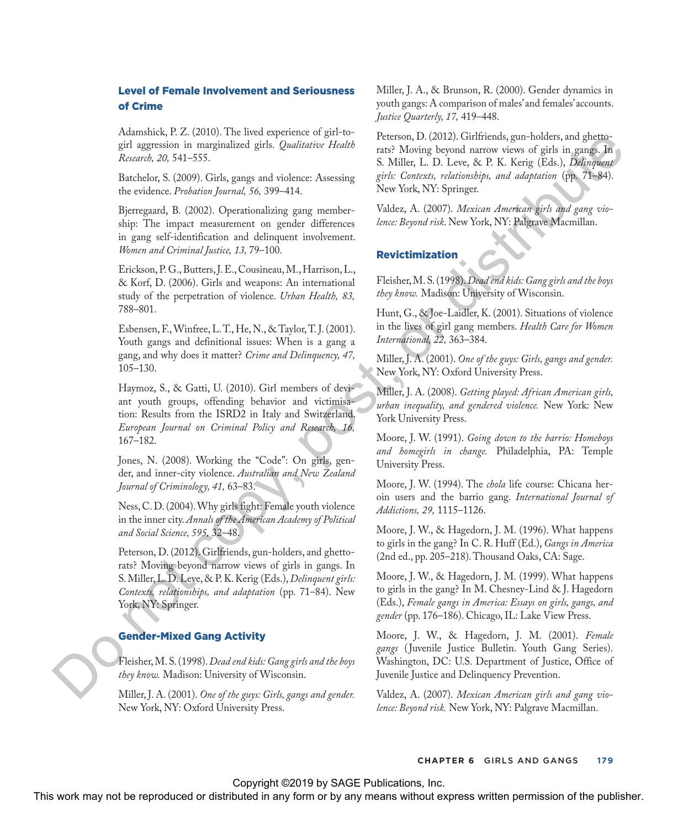## Level of Female Involvement and Seriousness of Crime

Adamshick, P. Z. (2010). The lived experience of girl-togirl aggression in marginalized girls. *Qualitative Health Research, 20,* 541–555.

Batchelor, S. (2009). Girls, gangs and violence: Assessing the evidence. *Probation Journal, 56,* 399–414.

Bjerregaard, B. (2002). Operationalizing gang membership: The impact measurement on gender differences in gang self-identification and delinquent involvement. *Women and Criminal Justice, 13,* 79–100.

Erickson, P. G., Butters, J. E., Cousineau, M., Harrison, L., & Korf, D. (2006). Girls and weapons: An international study of the perpetration of violence. *Urban Health, 83,* 788–801.

Esbensen, F., Winfree, L. T., He, N., & Taylor, T. J. (2001). Youth gangs and definitional issues: When is a gang a gang, and why does it matter? *Crime and Delinquency, 47,*  105–130.

Haymoz, S., & Gatti, U. (2010). Girl members of deviant youth groups, offending behavior and victimisation: Results from the ISRD2 in Italy and Switzerland. *European Journal on Criminal Policy and Research, 16,* 167–182.

Jones, N. (2008). Working the "Code": On girls, gender, and inner-city violence. *Australian and New Zealand Journal of Criminology, 41,* 63–83.

Ness, C. D. (2004). Why girls fight: Female youth violence in the inner city. *Annals of the American Academy of Political and Social Science, 595,* 32–48.

Peterson, D. (2012). Girlfriends, gun-holders, and ghettorats? Moving beyond narrow views of girls in gangs. In S. Miller, L. D. Leve, & P. K. Kerig (Eds.), *Delinquent girls: Contexts, relationships, and adaptation* (pp. 71–84). New York, NY: Springer. The agent of the results of the publishering control or distributed in any form or by any means with the reproduced in any form or by any means when the publishering the publishering or a publishering the publishering the

## Gender-Mixed Gang Activity

Fleisher, M. S. (1998). *Dead end kids: Gang girls and the boys they know.* Madison: University of Wisconsin.

Miller, J. A. (2001). *One of the guys: Girls, gangs and gender.* New York, NY: Oxford University Press.

Miller, J. A., & Brunson, R. (2000). Gender dynamics in youth gangs: A comparison of males' and females' accounts. *Justice Quarterly, 17,* 419–448.

Peterson, D. (2012). Girlfriends, gun-holders, and ghettorats? Moving beyond narrow views of girls in gangs. In S. Miller, L. D. Leve, & P. K. Kerig (Eds.), *Delinquent girls: Contexts, relationships, and adaptation* (pp. 71–84). New York, NY: Springer.

Valdez, A. (2007). *Mexican American girls and gang violence: Beyond risk*. New York, NY: Palgrave Macmillan.

#### Revictimization

Fleisher, M. S. (1998). *Dead end kids: Gang girls and the boys they know.* Madison: University of Wisconsin.

Hunt, G., & Joe-Laidler, K. (2001). Situations of violence in the lives of girl gang members. *Health Care for Women International, 22,* 363–384.

Miller, J. A. (2001). *One of the guys: Girls, gangs and gender.* New York, NY: Oxford University Press.

Miller, J. A. (2008). *Getting played: African American girls, urban inequality, and gendered violence.* New York: New York University Press.

Moore, J. W. (1991). *Going down to the barrio: Homeboys and homegirls in change.* Philadelphia, PA: Temple University Press.

Moore, J. W. (1994). The *chola* life course: Chicana heroin users and the barrio gang. *International Journal of Addictions, 29,* 1115–1126.

Moore, J. W., & Hagedorn, J. M. (1996). What happens to girls in the gang? In C. R. Huff (Ed.), *Gangs in America* (2nd ed., pp. 205–218). Thousand Oaks, CA: Sage.

Moore, J. W., & Hagedorn, J. M. (1999). What happens to girls in the gang? In M. Chesney-Lind & J. Hagedorn (Eds.), *Female gangs in America: Essays on girls, gangs, and gender* (pp. 176–186). Chicago, IL: Lake View Press.

Moore, J. W., & Hagedorn, J. M. (2001). *Female gangs* ( Juvenile Justice Bulletin. Youth Gang Series). Washington, DC: U.S. Department of Justice, Office of Juvenile Justice and Delinquency Prevention.

Valdez, A. (2007). *Mexican American girls and gang violence: Beyond risk.* New York, NY: Palgrave Macmillan.

#### **CHAPTER 6** Girls and Gangs **179**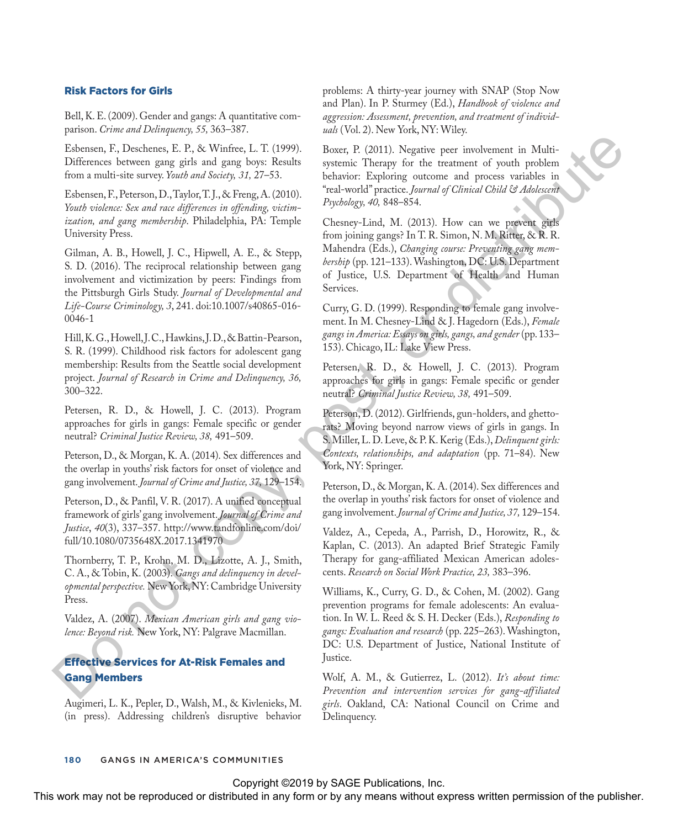### Risk Factors for Girls

Bell, K. E. (2009). Gender and gangs: A quantitative comparison. *Crime and Delinquency, 55,* 363–387.

Esbensen, F., Deschenes, E. P., & Winfree, L. T. (1999). Differences between gang girls and gang boys: Results from a multi-site survey. *Youth and Society, 31,* 27–53.

Esbensen, F., Peterson, D., Taylor, T. J., & Freng, A. (2010). *Youth violence: Sex and race differences in offending, victimization, and gang membership*. Philadelphia, PA: Temple University Press.

Gilman, A. B., Howell, J. C., Hipwell, A. E., & Stepp, S. D. (2016). The reciprocal relationship between gang involvement and victimization by peers: Findings from the Pittsburgh Girls Study. *Journal of Developmental and Life-Course Criminology, 3*, 241. doi:10.1007/s40865-016- 0046-1

Hill, K. G., Howell, J. C., Hawkins, J. D., & Battin-Pearson, S. R. (1999). Childhood risk factors for adolescent gang membership: Results from the Seattle social development project. *Journal of Research in Crime and Delinquency, 36,*  300–322.

Petersen, R. D., & Howell, J. C. (2013). Program approaches for girls in gangs: Female specific or gender neutral? *Criminal Justice Review, 38,* 491–509.

Peterson, D., & Morgan, K. A. (2014). Sex differences and the overlap in youths' risk factors for onset of violence and gang involvement. *Journal of Crime and Justice, 37,* 129–154.

Peterson, D., & Panfil, V. R. (2017). A unified conceptual framework of girls' gang involvement. *Journal of Crime and Justice*, *40*(3), 337–357. http://www.tandfonline.com/doi/ full/10.1080/0735648X.2017.1341970

Thornberry, T. P., Krohn, M. D., Lizotte, A. J., Smith, C. A., & Tobin, K. (2003). *Gangs and delinquency in developmental perspective.* New York, NY: Cambridge University Press.

Valdez, A. (2007). *Mexican American girls and gang violence: Beyond risk.* New York, NY: Palgrave Macmillan.

# Effective Services for At-Risk Females and Gang Members

Augimeri, L. K., Pepler, D., Walsh, M., & Kivlenieks, M. (in press). Addressing children's disruptive behavior

problems: A thirty-year journey with SNAP (Stop Now and Plan). In P. Sturmey (Ed.), *Handbook of violence and aggression: Assessment, prevention, and treatment of individuals* (Vol. 2). New York, NY: Wiley.

Boxer, P. (2011). Negative peer involvement in Multisystemic Therapy for the treatment of youth problem behavior: Exploring outcome and process variables in "real-world" practice. *Journal of Clinical Child & Adolescent Psychology, 40,* 848–854.

Chesney-Lind, M. (2013). How can we prevent girls from joining gangs? In T. R. Simon, N. M. Ritter, & R. R. Mahendra (Eds.), *Changing course: Preventing gang membership* (pp. 121–133). Washington, DC: U.S. Department of Justice, U.S. Department of Health and Human Services.

Curry, G. D. (1999). Responding to female gang involvement. In M. Chesney-Lind & J. Hagedorn (Eds.), *Female gangs in America: Essays on girls, gangs, and gender* (pp. 133– 153). Chicago, IL: Lake View Press.

Petersen, R. D., & Howell, J. C. (2013). Program approaches for girls in gangs: Female specific or gender neutral? *Criminal Justice Review, 38,* 491–509.

Peterson, D. (2012). Girlfriends, gun-holders, and ghettorats? Moving beyond narrow views of girls in gangs. In S. Miller, L. D. Leve, & P. K. Kerig (Eds.), *Delinquent girls: Contexts, relationships, and adaptation* (pp. 71–84). New York, NY: Springer.

Peterson, D., & Morgan, K. A. (2014). Sex differences and the overlap in youths' risk factors for onset of violence and gang involvement. *Journal of Crime and Justice, 37,* 129–154.

Valdez, A., Cepeda, A., Parrish, D., Horowitz, R., & Kaplan, C. (2013). An adapted Brief Strategic Family Therapy for gang-affiliated Mexican American adolescents. *Research on Social Work Practice, 23,* 383–396.

Williams, K., Curry, G. D., & Cohen, M. (2002). Gang prevention programs for female adolescents: An evaluation. In W. L. Reed & S. H. Decker (Eds.), *Responding to gangs: Evaluation and research* (pp. 225–263). Washington, DC: U.S. Department of Justice, National Institute of Justice. This work may not be reproduced to the reproduced or distributed in any form or by an any form or by any form or by any means without express without express without express with the publisher angular stributed in any for

Wolf, A. M., & Gutierrez, L. (2012). *It's about time: Prevention and intervention services for gang-affiliated girls*. Oakland, CA: National Council on Crime and Delinquency.

#### **180** GANGS IN AMERICA'S COMMUNITIES